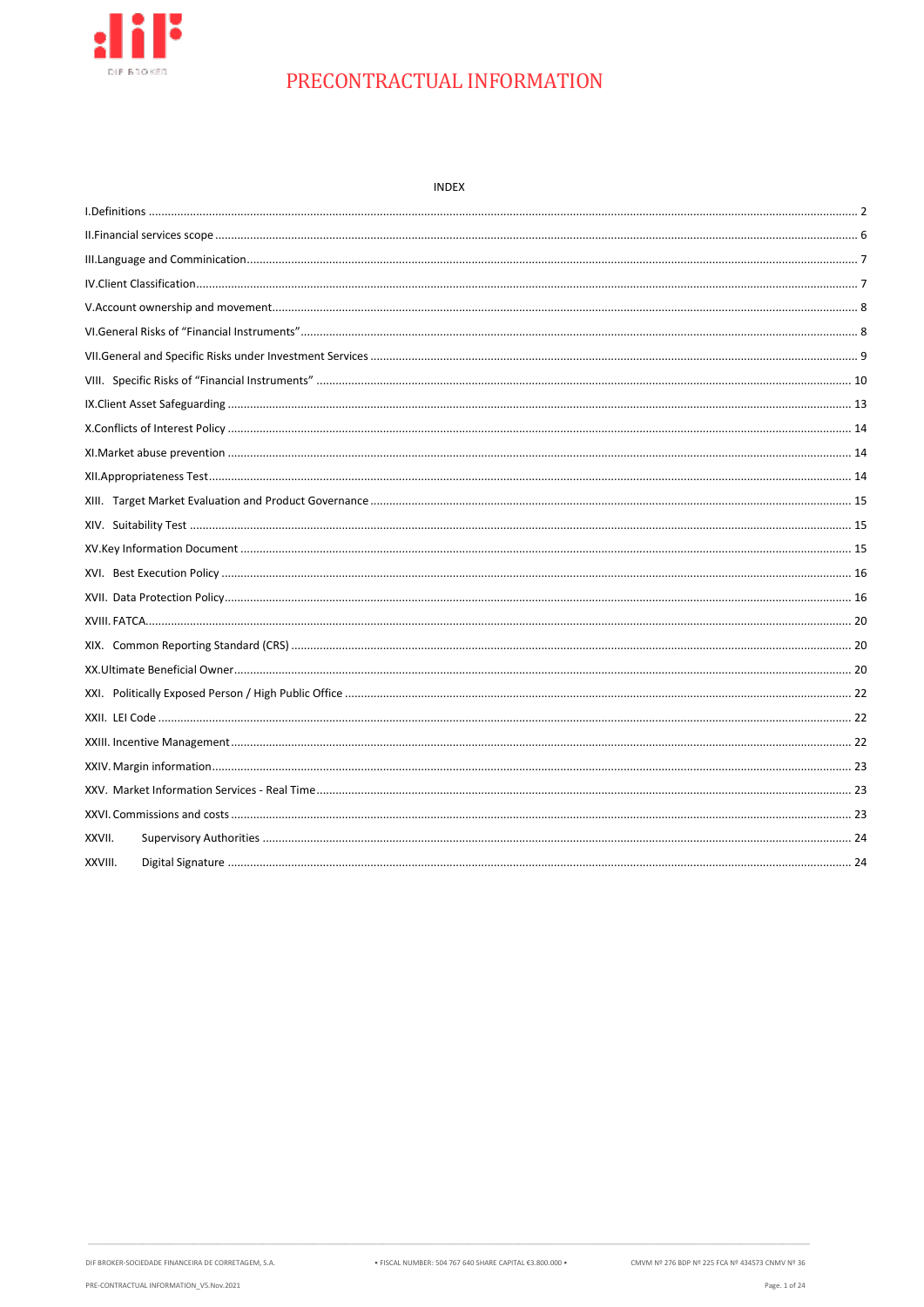

| <b>INDEX</b> |  |
|--------------|--|
|              |  |
|              |  |
|              |  |
|              |  |
|              |  |
|              |  |
|              |  |
|              |  |
|              |  |
|              |  |
|              |  |
|              |  |
|              |  |
|              |  |
|              |  |
|              |  |
|              |  |
|              |  |
|              |  |
|              |  |
|              |  |
|              |  |
|              |  |
|              |  |
|              |  |
|              |  |
| XXVII.       |  |
| XXVIII.      |  |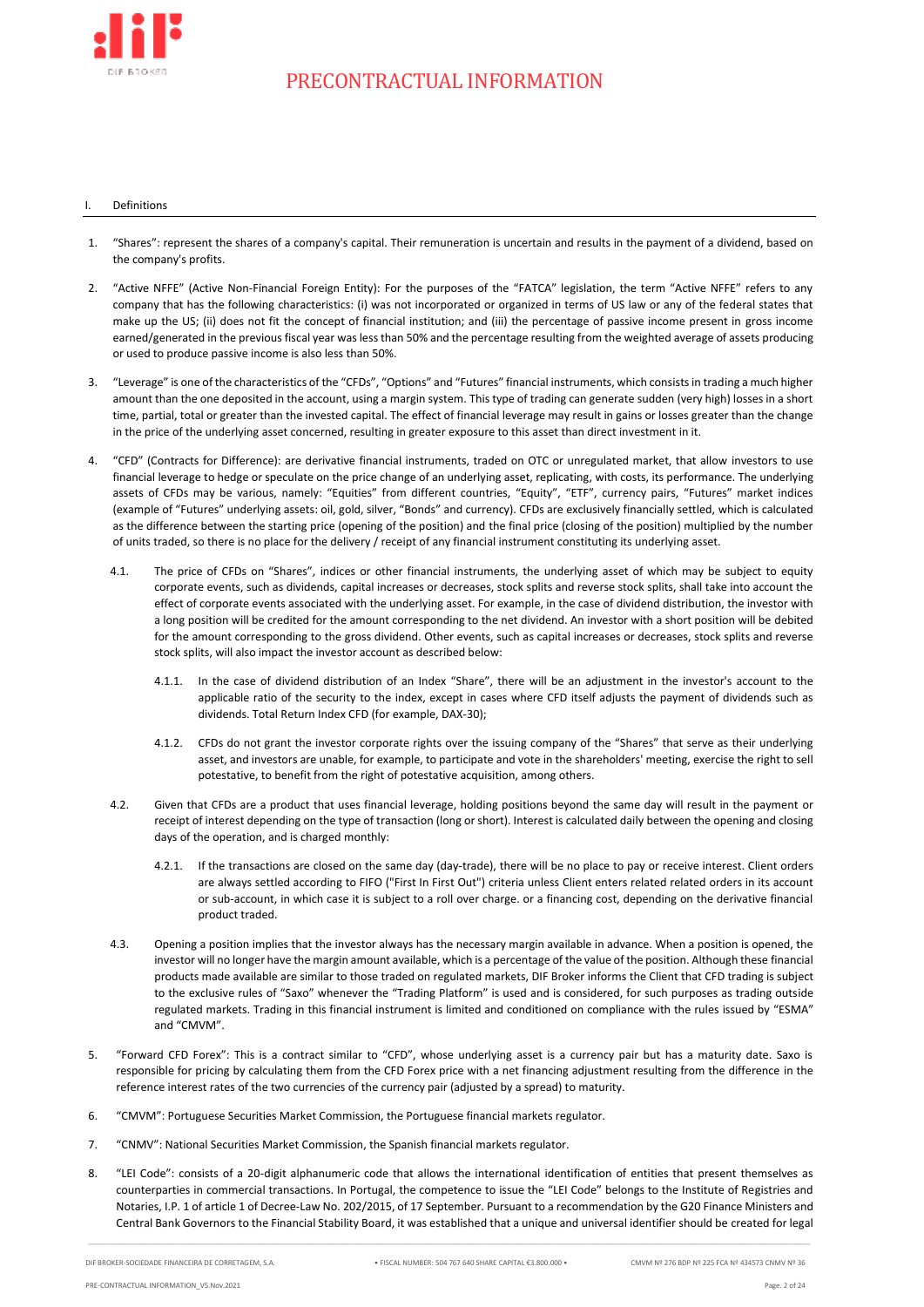

### <span id="page-1-0"></span>**Definitions**

- 1. "Shares": represent the shares of a company's capital. Their remuneration is uncertain and results in the payment of a dividend, based on the company's profits.
- 2. "Active NFFE" (Active Non-Financial Foreign Entity): For the purposes of the "FATCA" legislation, the term "Active NFFE" refers to any company that has the following characteristics: (i) was not incorporated or organized in terms of US law or any of the federal states that make up the US; (ii) does not fit the concept of financial institution; and (iii) the percentage of passive income present in gross income earned/generated in the previous fiscal year was less than 50% and the percentage resulting from the weighted average of assets producing or used to produce passive income is also less than 50%.
- 3. "Leverage" is one of the characteristics of the "CFDs", "Options" and "Futures" financial instruments, which consists in trading a much higher amount than the one deposited in the account, using a margin system. This type of trading can generate sudden (very high) losses in a short time, partial, total or greater than the invested capital. The effect of financial leverage may result in gains or losses greater than the change in the price of the underlying asset concerned, resulting in greater exposure to this asset than direct investment in it.
- 4. "CFD" (Contracts for Difference): are derivative financial instruments, traded on OTC or unregulated market, that allow investors to use financial leverage to hedge or speculate on the price change of an underlying asset, replicating, with costs, its performance. The underlying assets of CFDs may be various, namely: "Equities" from different countries, "Equity", "ETF", currency pairs, "Futures" market indices (example of "Futures" underlying assets: oil, gold, silver, "Bonds" and currency). CFDs are exclusively financially settled, which is calculated as the difference between the starting price (opening of the position) and the final price (closing of the position) multiplied by the number of units traded, so there is no place for the delivery / receipt of any financial instrument constituting its underlying asset.
	- 4.1. The price of CFDs on "Shares", indices or other financial instruments, the underlying asset of which may be subject to equity corporate events, such as dividends, capital increases or decreases, stock splits and reverse stock splits, shall take into account the effect of corporate events associated with the underlying asset. For example, in the case of dividend distribution, the investor with a long position will be credited for the amount corresponding to the net dividend. An investor with a short position will be debited for the amount corresponding to the gross dividend. Other events, such as capital increases or decreases, stock splits and reverse stock splits, will also impact the investor account as described below:
		- 4.1.1. In the case of dividend distribution of an Index "Share", there will be an adjustment in the investor's account to the applicable ratio of the security to the index, except in cases where CFD itself adjusts the payment of dividends such as dividends. Total Return Index CFD (for example, DAX-30);
		- 4.1.2. CFDs do not grant the investor corporate rights over the issuing company of the "Shares" that serve as their underlying asset, and investors are unable, for example, to participate and vote in the shareholders' meeting, exercise the right to sell potestative, to benefit from the right of potestative acquisition, among others.
	- 4.2. Given that CFDs are a product that uses financial leverage, holding positions beyond the same day will result in the payment or receipt of interest depending on the type of transaction (long or short). Interest is calculated daily between the opening and closing days of the operation, and is charged monthly:
		- If the transactions are closed on the same day (day-trade), there will be no place to pay or receive interest. Client orders are always settled according to FIFO ("First In First Out") criteria unless Client enters related related orders in its account or sub-account, in which case it is subject to a roll over charge. or a financing cost, depending on the derivative financial product traded.
	- 4.3. Opening a position implies that the investor always has the necessary margin available in advance. When a position is opened, the investor will no longer have the margin amount available, which is a percentage of the value of the position. Although these financial products made available are similar to those traded on regulated markets, DIF Broker informs the Client that CFD trading is subject to the exclusive rules of "Saxo" whenever the "Trading Platform" is used and is considered, for such purposes as trading outside regulated markets. Trading in this financial instrument is limited and conditioned on compliance with the rules issued by "ESMA" and "CMVM".
- 5. "Forward CFD Forex": This is a contract similar to "CFD", whose underlying asset is a currency pair but has a maturity date. Saxo is responsible for pricing by calculating them from the CFD Forex price with a net financing adjustment resulting from the difference in the reference interest rates of the two currencies of the currency pair (adjusted by a spread) to maturity.
- 6. "CMVM": Portuguese Securities Market Commission, the Portuguese financial markets regulator.
- 7. "CNMV": National Securities Market Commission, the Spanish financial markets regulator.
- 8. "LEI Code": consists of a 20-digit alphanumeric code that allows the international identification of entities that present themselves as counterparties in commercial transactions. In Portugal, the competence to issue the "LEI Code" belongs to the Institute of Registries and Notaries, I.P. 1 of article 1 of Decree-Law No. 202/2015, of 17 September. Pursuant to a recommendation by the G20 Finance Ministers and Central Bank Governors to the Financial Stability Board, it was established that a unique and universal identifier should be created for legal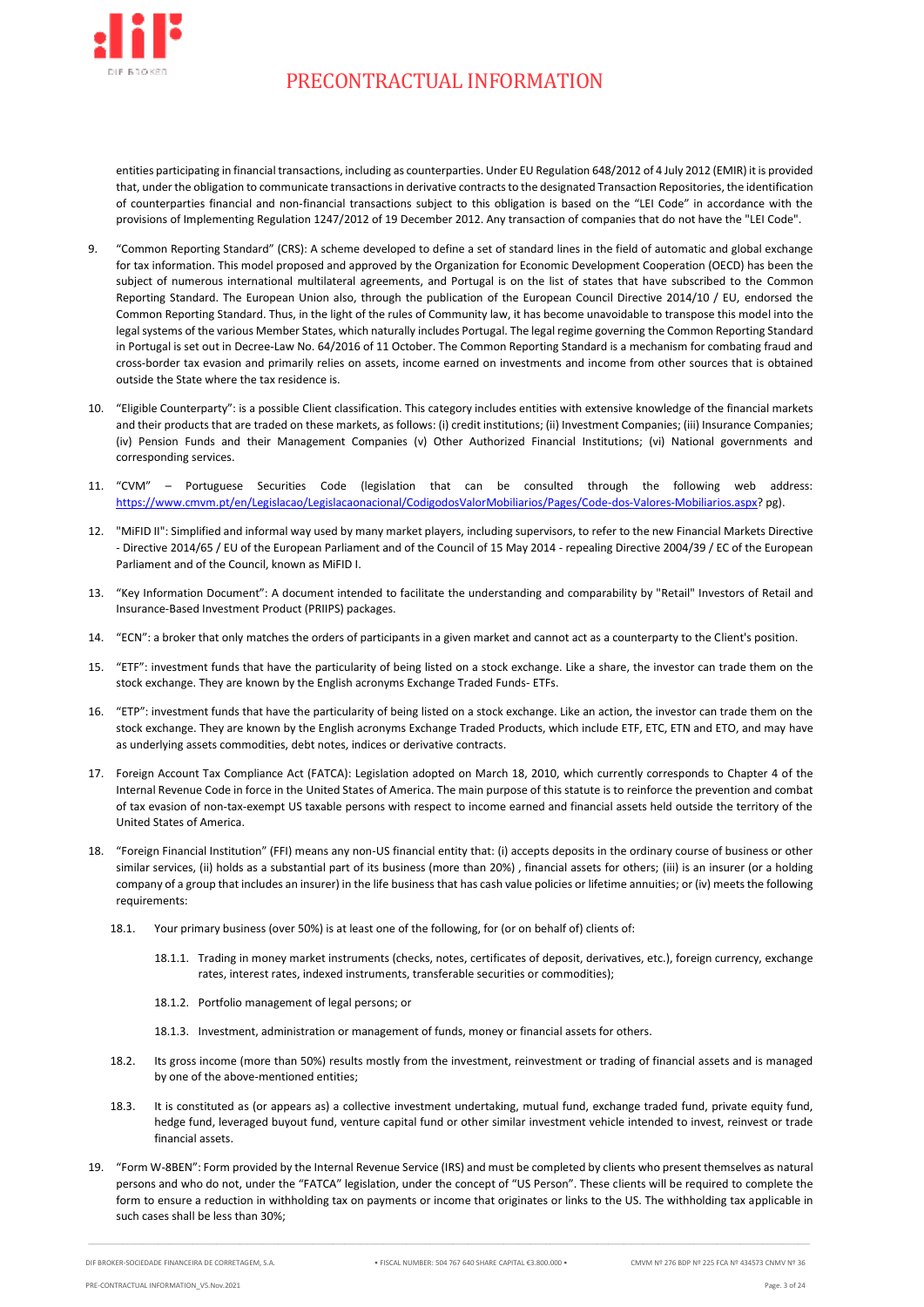

entities participating in financial transactions, including as counterparties. Under EU Regulation 648/2012 of 4 July 2012 (EMIR) it is provided that, under the obligation to communicate transactions in derivative contracts to the designated Transaction Repositories, the identification of counterparties financial and non-financial transactions subject to this obligation is based on the "LEI Code" in accordance with the provisions of Implementing Regulation 1247/2012 of 19 December 2012. Any transaction of companies that do not have the "LEI Code".

- 9. "Common Reporting Standard" (CRS): A scheme developed to define a set of standard lines in the field of automatic and global exchange for tax information. This model proposed and approved by the Organization for Economic Development Cooperation (OECD) has been the subject of numerous international multilateral agreements, and Portugal is on the list of states that have subscribed to the Common Reporting Standard. The European Union also, through the publication of the European Council Directive 2014/10 / EU, endorsed the Common Reporting Standard. Thus, in the light of the rules of Community law, it has become unavoidable to transpose this model into the legal systems of the various Member States, which naturally includes Portugal. The legal regime governing the Common Reporting Standard in Portugal is set out in Decree-Law No. 64/2016 of 11 October. The Common Reporting Standard is a mechanism for combating fraud and cross-border tax evasion and primarily relies on assets, income earned on investments and income from other sources that is obtained outside the State where the tax residence is.
- 10. "Eligible Counterparty": is a possible Client classification. This category includes entities with extensive knowledge of the financial markets and their products that are traded on these markets, as follows: (i) credit institutions; (ii) Investment Companies; (iii) Insurance Companies; (iv) Pension Funds and their Management Companies (v) Other Authorized Financial Institutions; (vi) National governments and corresponding services.
- 11. "CVM" Portuguese Securities Code (legislation that can be consulted through the following web address: [https://www.cmvm.pt/en/Legislacao/Legislacaonacional/CodigodosValorMobiliarios/Pages/Code-dos-Valores-Mobiliarios.aspx?](https://www.cmvm.pt/en/Legislacao/Legislacaonacional/CodigodosValorMobiliarios/Pages/Code-dos-Valores-Mobiliarios.aspx) pg).
- 12. "MiFID II": Simplified and informal way used by many market players, including supervisors, to refer to the new Financial Markets Directive - Directive 2014/65 / EU of the European Parliament and of the Council of 15 May 2014 - repealing Directive 2004/39 / EC of the European Parliament and of the Council, known as MiFID I.
- 13. "Key Information Document": A document intended to facilitate the understanding and comparability by "Retail" Investors of Retail and Insurance-Based Investment Product (PRIIPS) packages.
- 14. "ECN": a broker that only matches the orders of participants in a given market and cannot act as a counterparty to the Client's position.
- 15. "ETF": investment funds that have the particularity of being listed on a stock exchange. Like a share, the investor can trade them on the stock exchange. They are known by the English acronyms Exchange Traded Funds- ETFs.
- 16. "ETP": investment funds that have the particularity of being listed on a stock exchange. Like an action, the investor can trade them on the stock exchange. They are known by the English acronyms Exchange Traded Products, which include ETF, ETC, ETN and ETO, and may have as underlying assets commodities, debt notes, indices or derivative contracts.
- 17. Foreign Account Tax Compliance Act (FATCA): Legislation adopted on March 18, 2010, which currently corresponds to Chapter 4 of the Internal Revenue Code in force in the United States of America. The main purpose of this statute is to reinforce the prevention and combat of tax evasion of non-tax-exempt US taxable persons with respect to income earned and financial assets held outside the territory of the United States of America.
- 18. "Foreign Financial Institution" (FFI) means any non-US financial entity that: (i) accepts deposits in the ordinary course of business or other similar services, (ii) holds as a substantial part of its business (more than 20%) , financial assets for others; (iii) is an insurer (or a holding company of a group that includes an insurer) in the life businessthat has cash value policies or lifetime annuities; or (iv) meets the following requirements:
	- 18.1. Your primary business (over 50%) is at least one of the following, for (or on behalf of) clients of:
		- 18.1.1. Trading in money market instruments (checks, notes, certificates of deposit, derivatives, etc.), foreign currency, exchange rates, interest rates, indexed instruments, transferable securities or commodities);
		- 18.1.2. Portfolio management of legal persons; or
		- 18.1.3. Investment, administration or management of funds, money or financial assets for others.
	- 18.2. Its gross income (more than 50%) results mostly from the investment, reinvestment or trading of financial assets and is managed by one of the above-mentioned entities;
	- 18.3. It is constituted as (or appears as) a collective investment undertaking, mutual fund, exchange traded fund, private equity fund, hedge fund, leveraged buyout fund, venture capital fund or other similar investment vehicle intended to invest, reinvest or trade financial assets.
- 19. "Form W-8BEN": Form provided by the Internal Revenue Service (IRS) and must be completed by clients who present themselves as natural persons and who do not, under the "FATCA" legislation, under the concept of "US Person". These clients will be required to complete the form to ensure a reduction in withholding tax on payments or income that originates or links to the US. The withholding tax applicable in such cases shall be less than 30%;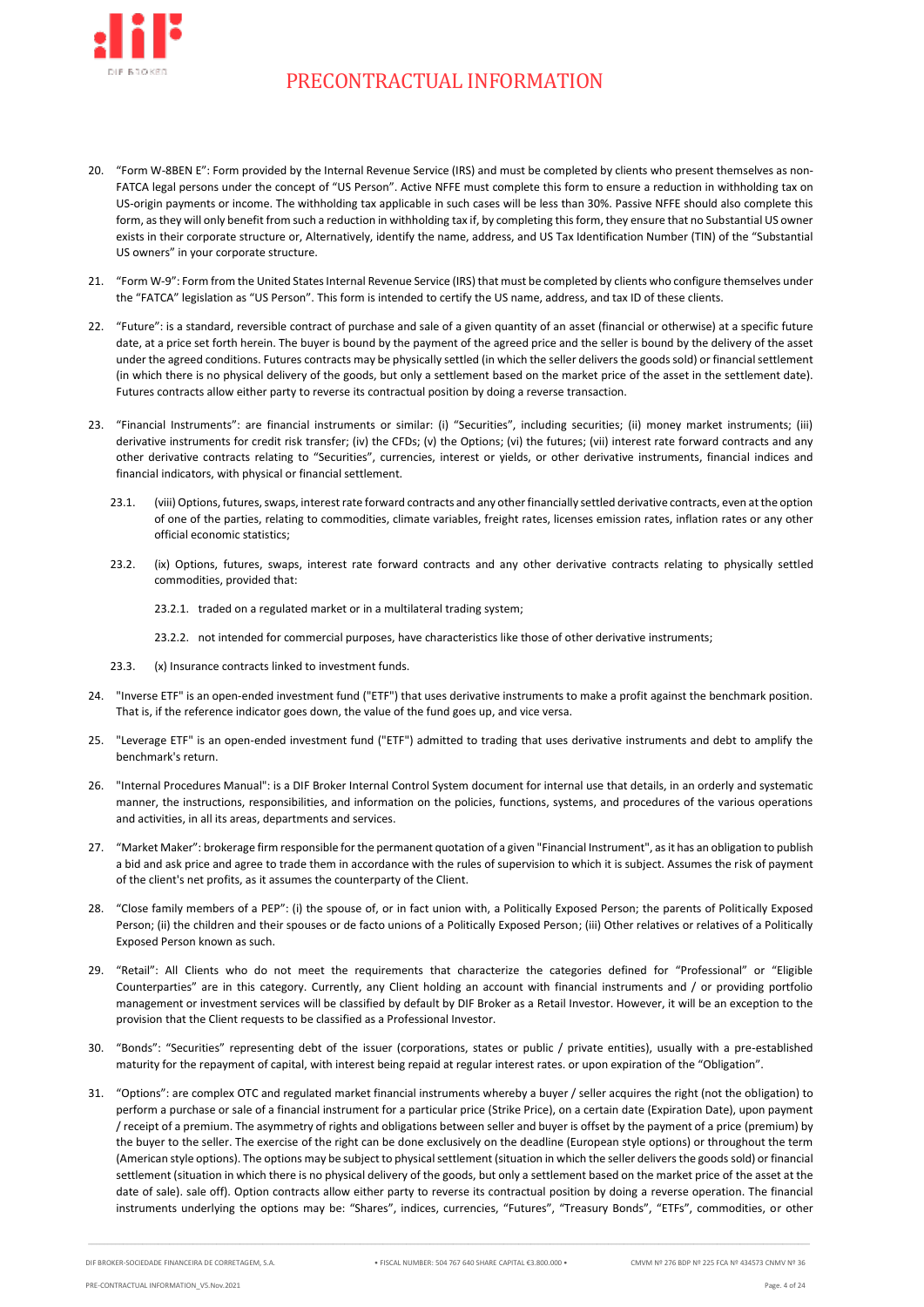

- 20. "Form W-8BEN E": Form provided by the Internal Revenue Service (IRS) and must be completed by clients who present themselves as non-FATCA legal persons under the concept of "US Person". Active NFFE must complete this form to ensure a reduction in withholding tax on US-origin payments or income. The withholding tax applicable in such cases will be less than 30%. Passive NFFE should also complete this form, as they will only benefit from such a reduction in withholding tax if, by completing this form, they ensure that no Substantial US owner exists in their corporate structure or, Alternatively, identify the name, address, and US Tax Identification Number (TIN) of the "Substantial US owners" in your corporate structure.
- 21. "Form W-9": Form from the United States Internal Revenue Service (IRS) that must be completed by clients who configure themselves under the "FATCA" legislation as "US Person". This form is intended to certify the US name, address, and tax ID of these clients.
- 22. "Future": is a standard, reversible contract of purchase and sale of a given quantity of an asset (financial or otherwise) at a specific future date, at a price set forth herein. The buyer is bound by the payment of the agreed price and the seller is bound by the delivery of the asset under the agreed conditions. Futures contracts may be physically settled (in which the seller delivers the goods sold) or financial settlement (in which there is no physical delivery of the goods, but only a settlement based on the market price of the asset in the settlement date). Futures contracts allow either party to reverse its contractual position by doing a reverse transaction.
- 23. "Financial Instruments": are financial instruments or similar: (i) "Securities", including securities; (ii) money market instruments; (iii) derivative instruments for credit risk transfer; (iv) the CFDs; (v) the Options; (vi) the futures; (vii) interest rate forward contracts and any other derivative contracts relating to "Securities", currencies, interest or yields, or other derivative instruments, financial indices and financial indicators, with physical or financial settlement.
	- 23.1. (viii) Options, futures, swaps, interest rate forward contracts and any other financially settled derivative contracts, even at the option of one of the parties, relating to commodities, climate variables, freight rates, licenses emission rates, inflation rates or any other official economic statistics;
	- 23.2. (ix) Options, futures, swaps, interest rate forward contracts and any other derivative contracts relating to physically settled commodities, provided that:
		- 23.2.1. traded on a regulated market or in a multilateral trading system;
		- 23.2.2. not intended for commercial purposes, have characteristics like those of other derivative instruments;
	- 23.3. (x) Insurance contracts linked to investment funds.
- 24. "Inverse ETF" is an open-ended investment fund ("ETF") that uses derivative instruments to make a profit against the benchmark position. That is, if the reference indicator goes down, the value of the fund goes up, and vice versa.
- 25. "Leverage ETF" is an open-ended investment fund ("ETF") admitted to trading that uses derivative instruments and debt to amplify the benchmark's return.
- 26. "Internal Procedures Manual": is a DIF Broker Internal Control System document for internal use that details, in an orderly and systematic manner, the instructions, responsibilities, and information on the policies, functions, systems, and procedures of the various operations and activities, in all its areas, departments and services.
- 27. "Market Maker": brokerage firm responsible for the permanent quotation of a given "Financial Instrument", as it has an obligation to publish a bid and ask price and agree to trade them in accordance with the rules of supervision to which it is subject. Assumes the risk of payment of the client's net profits, as it assumes the counterparty of the Client.
- 28. "Close family members of a PEP": (i) the spouse of, or in fact union with, a Politically Exposed Person; the parents of Politically Exposed Person; (ii) the children and their spouses or de facto unions of a Politically Exposed Person; (iii) Other relatives or relatives of a Politically Exposed Person known as such.
- 29. "Retail": All Clients who do not meet the requirements that characterize the categories defined for "Professional" or "Eligible Counterparties" are in this category. Currently, any Client holding an account with financial instruments and / or providing portfolio management or investment services will be classified by default by DIF Broker as a Retail Investor. However, it will be an exception to the provision that the Client requests to be classified as a Professional Investor.
- 30. "Bonds": "Securities" representing debt of the issuer (corporations, states or public / private entities), usually with a pre-established maturity for the repayment of capital, with interest being repaid at regular interest rates. or upon expiration of the "Obligation".
- 31. "Options": are complex OTC and regulated market financial instruments whereby a buyer / seller acquires the right (not the obligation) to perform a purchase or sale of a financial instrument for a particular price (Strike Price), on a certain date (Expiration Date), upon payment / receipt of a premium. The asymmetry of rights and obligations between seller and buyer is offset by the payment of a price (premium) by the buyer to the seller. The exercise of the right can be done exclusively on the deadline (European style options) or throughout the term (American style options). The options may be subject to physical settlement (situation in which the seller delivers the goods sold) or financial settlement (situation in which there is no physical delivery of the goods, but only a settlement based on the market price of the asset at the date of sale). sale off). Option contracts allow either party to reverse its contractual position by doing a reverse operation. The financial instruments underlying the options may be: "Shares", indices, currencies, "Futures", "Treasury Bonds", "ETFs", commodities, or other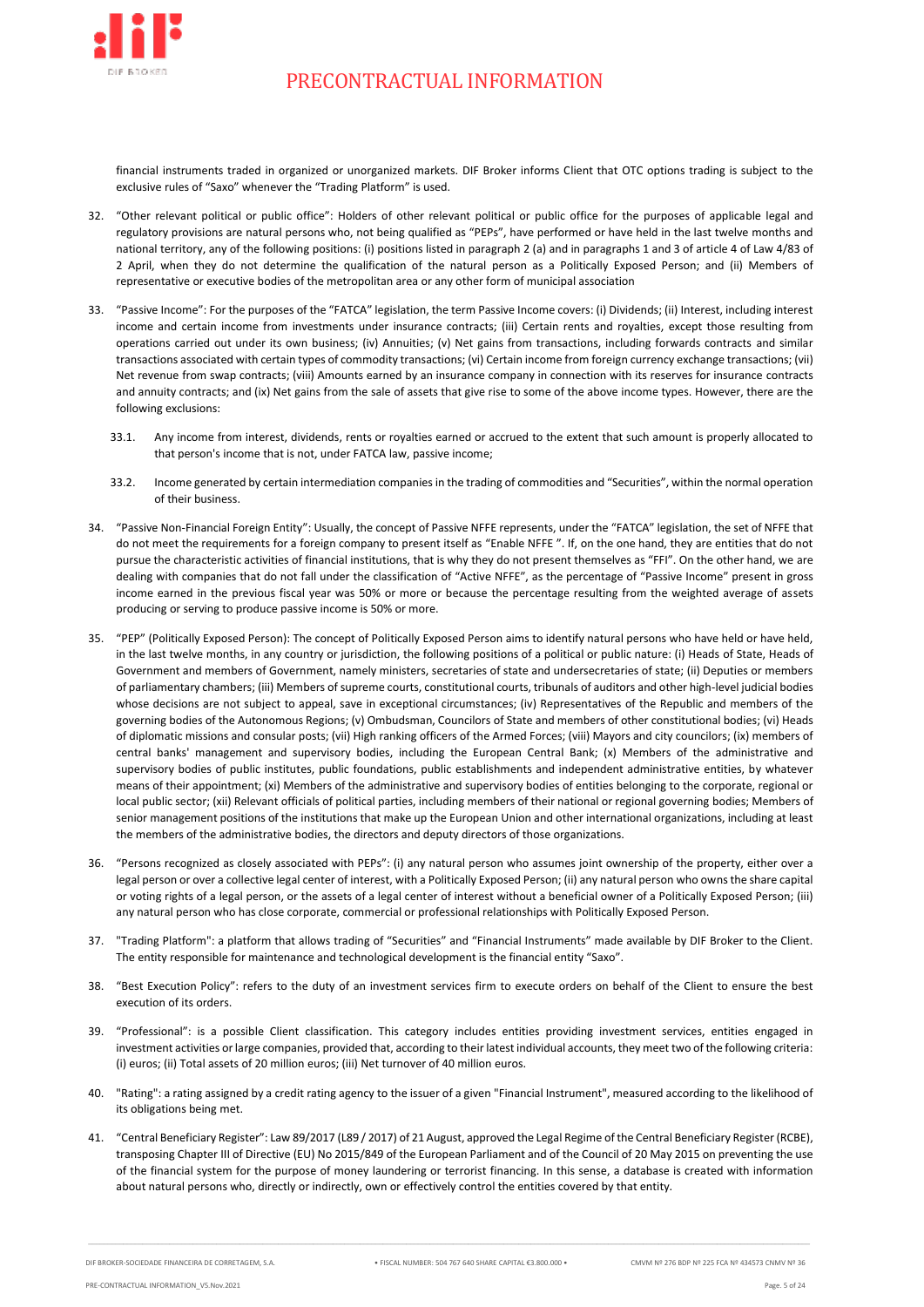

financial instruments traded in organized or unorganized markets. DIF Broker informs Client that OTC options trading is subject to the exclusive rules of "Saxo" whenever the "Trading Platform" is used.

- 32. "Other relevant political or public office": Holders of other relevant political or public office for the purposes of applicable legal and regulatory provisions are natural persons who, not being qualified as "PEPs", have performed or have held in the last twelve months and national territory, any of the following positions: (i) positions listed in paragraph 2 (a) and in paragraphs 1 and 3 of article 4 of Law 4/83 of 2 April, when they do not determine the qualification of the natural person as a Politically Exposed Person; and (ii) Members of representative or executive bodies of the metropolitan area or any other form of municipal association
- 33. "Passive Income": For the purposes of the "FATCA" legislation, the term Passive Income covers: (i) Dividends; (ii) Interest, including interest income and certain income from investments under insurance contracts; (iii) Certain rents and royalties, except those resulting from operations carried out under its own business; (iv) Annuities; (v) Net gains from transactions, including forwards contracts and similar transactions associated with certain types of commodity transactions; (vi) Certain income from foreign currency exchange transactions; (vii) Net revenue from swap contracts; (viii) Amounts earned by an insurance company in connection with its reserves for insurance contracts and annuity contracts; and (ix) Net gains from the sale of assets that give rise to some of the above income types. However, there are the following exclusions:
	- 33.1. Any income from interest, dividends, rents or royalties earned or accrued to the extent that such amount is properly allocated to that person's income that is not, under FATCA law, passive income;
	- 33.2. Income generated by certain intermediation companies in the trading of commodities and "Securities", within the normal operation of their business.
- 34. "Passive Non-Financial Foreign Entity": Usually, the concept of Passive NFFE represents, under the "FATCA" legislation, the set of NFFE that do not meet the requirements for a foreign company to present itself as "Enable NFFE ". If, on the one hand, they are entities that do not pursue the characteristic activities of financial institutions, that is why they do not present themselves as "FFI". On the other hand, we are dealing with companies that do not fall under the classification of "Active NFFE", as the percentage of "Passive Income" present in gross income earned in the previous fiscal year was 50% or more or because the percentage resulting from the weighted average of assets producing or serving to produce passive income is 50% or more.
- 35. "PEP" (Politically Exposed Person): The concept of Politically Exposed Person aims to identify natural persons who have held or have held, in the last twelve months, in any country or jurisdiction, the following positions of a political or public nature: (i) Heads of State, Heads of Government and members of Government, namely ministers, secretaries of state and undersecretaries of state; (ii) Deputies or members of parliamentary chambers; (iii) Members of supreme courts, constitutional courts, tribunals of auditors and other high-level judicial bodies whose decisions are not subject to appeal, save in exceptional circumstances; (iv) Representatives of the Republic and members of the governing bodies of the Autonomous Regions; (v) Ombudsman, Councilors of State and members of other constitutional bodies; (vi) Heads of diplomatic missions and consular posts; (vii) High ranking officers of the Armed Forces; (viii) Mayors and city councilors; (ix) members of central banks' management and supervisory bodies, including the European Central Bank; (x) Members of the administrative and supervisory bodies of public institutes, public foundations, public establishments and independent administrative entities, by whatever means of their appointment; (xi) Members of the administrative and supervisory bodies of entities belonging to the corporate, regional or local public sector; (xii) Relevant officials of political parties, including members of their national or regional governing bodies; Members of senior management positions of the institutions that make up the European Union and other international organizations, including at least the members of the administrative bodies, the directors and deputy directors of those organizations.
- 36. "Persons recognized as closely associated with PEPs": (i) any natural person who assumes joint ownership of the property, either over a legal person or over a collective legal center of interest, with a Politically Exposed Person; (ii) any natural person who owns the share capital or voting rights of a legal person, or the assets of a legal center of interest without a beneficial owner of a Politically Exposed Person; (iii) any natural person who has close corporate, commercial or professional relationships with Politically Exposed Person.
- 37. "Trading Platform": a platform that allows trading of "Securities" and "Financial Instruments" made available by DIF Broker to the Client. The entity responsible for maintenance and technological development is the financial entity "Saxo".
- 38. "Best Execution Policy": refers to the duty of an investment services firm to execute orders on behalf of the Client to ensure the best execution of its orders.
- 39. "Professional": is a possible Client classification. This category includes entities providing investment services, entities engaged in investment activities or large companies, provided that, according to their latest individual accounts, they meet two of the following criteria: (i) euros; (ii) Total assets of 20 million euros; (iii) Net turnover of 40 million euros.
- 40. "Rating": a rating assigned by a credit rating agency to the issuer of a given "Financial Instrument", measured according to the likelihood of its obligations being met.
- 41. "Central Beneficiary Register": Law 89/2017 (L89 / 2017) of 21 August, approved the Legal Regime of the Central Beneficiary Register (RCBE), transposing Chapter III of Directive (EU) No 2015/849 of the European Parliament and of the Council of 20 May 2015 on preventing the use of the financial system for the purpose of money laundering or terrorist financing. In this sense, a database is created with information about natural persons who, directly or indirectly, own or effectively control the entities covered by that entity.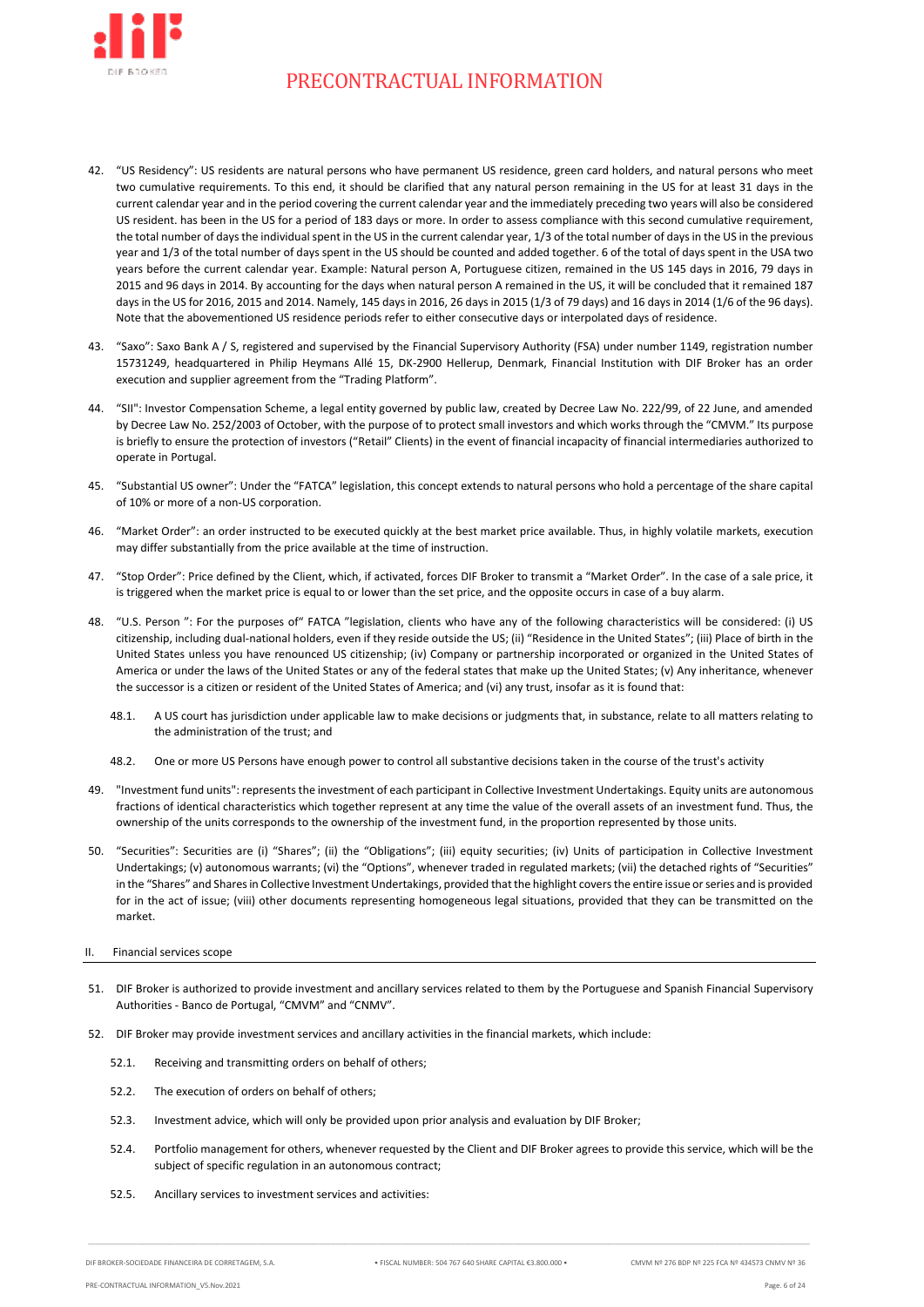

- 42. "US Residency": US residents are natural persons who have permanent US residence, green card holders, and natural persons who meet two cumulative requirements. To this end, it should be clarified that any natural person remaining in the US for at least 31 days in the current calendar year and in the period covering the current calendar year and the immediately preceding two years will also be considered US resident. has been in the US for a period of 183 days or more. In order to assess compliance with this second cumulative requirement, the total number of days the individual spent in the US in the current calendar year, 1/3 of the total number of days in the US in the previous year and 1/3 of the total number of days spent in the US should be counted and added together. 6 of the total of days spent in the USA two years before the current calendar year. Example: Natural person A, Portuguese citizen, remained in the US 145 days in 2016, 79 days in 2015 and 96 days in 2014. By accounting for the days when natural person A remained in the US, it will be concluded that it remained 187 days in the US for 2016, 2015 and 2014. Namely, 145 days in 2016, 26 days in 2015 (1/3 of 79 days) and 16 days in 2014 (1/6 of the 96 days). Note that the abovementioned US residence periods refer to either consecutive days or interpolated days of residence.
- 43. "Saxo": Saxo Bank A / S, registered and supervised by the Financial Supervisory Authority (FSA) under number 1149, registration number 15731249, headquartered in Philip Heymans Allé 15, DK-2900 Hellerup, Denmark, Financial Institution with DIF Broker has an order execution and supplier agreement from the "Trading Platform".
- 44. "SII": Investor Compensation Scheme, a legal entity governed by public law, created by Decree Law No. 222/99, of 22 June, and amended by Decree Law No. 252/2003 of October, with the purpose of to protect small investors and which works through the "CMVM." Its purpose is briefly to ensure the protection of investors ("Retail" Clients) in the event of financial incapacity of financial intermediaries authorized to operate in Portugal.
- 45. "Substantial US owner": Under the "FATCA" legislation, this concept extends to natural persons who hold a percentage of the share capital of 10% or more of a non-US corporation.
- 46. "Market Order": an order instructed to be executed quickly at the best market price available. Thus, in highly volatile markets, execution may differ substantially from the price available at the time of instruction.
- 47. "Stop Order": Price defined by the Client, which, if activated, forces DIF Broker to transmit a "Market Order". In the case of a sale price, it is triggered when the market price is equal to or lower than the set price, and the opposite occurs in case of a buy alarm.
- 48. "U.S. Person ": For the purposes of" FATCA "legislation, clients who have any of the following characteristics will be considered: (i) US citizenship, including dual-national holders, even if they reside outside the US; (ii) "Residence in the United States"; (iii) Place of birth in the United States unless you have renounced US citizenship; (iv) Company or partnership incorporated or organized in the United States of America or under the laws of the United States or any of the federal states that make up the United States; (v) Any inheritance, whenever the successor is a citizen or resident of the United States of America; and (vi) any trust, insofar as it is found that:
	- 48.1. A US court has jurisdiction under applicable law to make decisions or judgments that, in substance, relate to all matters relating to the administration of the trust; and
	- 48.2. One or more US Persons have enough power to control all substantive decisions taken in the course of the trust's activity
- 49. "Investment fund units": represents the investment of each participant in Collective Investment Undertakings. Equity units are autonomous fractions of identical characteristics which together represent at any time the value of the overall assets of an investment fund. Thus, the ownership of the units corresponds to the ownership of the investment fund, in the proportion represented by those units.
- 50. "Securities": Securities are (i) "Shares"; (ii) the "Obligations"; (iii) equity securities; (iv) Units of participation in Collective Investment Undertakings; (v) autonomous warrants; (vi) the "Options", whenever traded in regulated markets; (vii) the detached rights of "Securities" in the "Shares" and Shares in Collective Investment Undertakings, provided that the highlight covers the entire issue or series and is provided for in the act of issue; (viii) other documents representing homogeneous legal situations, provided that they can be transmitted on the market.
- <span id="page-5-0"></span>II. Financial services scope
- 51. DIF Broker is authorized to provide investment and ancillary services related to them by the Portuguese and Spanish Financial Supervisory Authorities - Banco de Portugal, "CMVM" and "CNMV".
- <span id="page-5-3"></span><span id="page-5-2"></span><span id="page-5-1"></span>52. DIF Broker may provide investment services and ancillary activities in the financial markets, which include:
	- 52.1. Receiving and transmitting orders on behalf of others;
	- 52.2. The execution of orders on behalf of others;
	- 52.3. Investment advice, which will only be provided upon prior analysis and evaluation by DIF Broker;
	- 52.4. Portfolio management for others, whenever requested by the Client and DIF Broker agrees to provide this service, which will be the subject of specific regulation in an autonomous contract;
	- 52.5. Ancillary services to investment services and activities: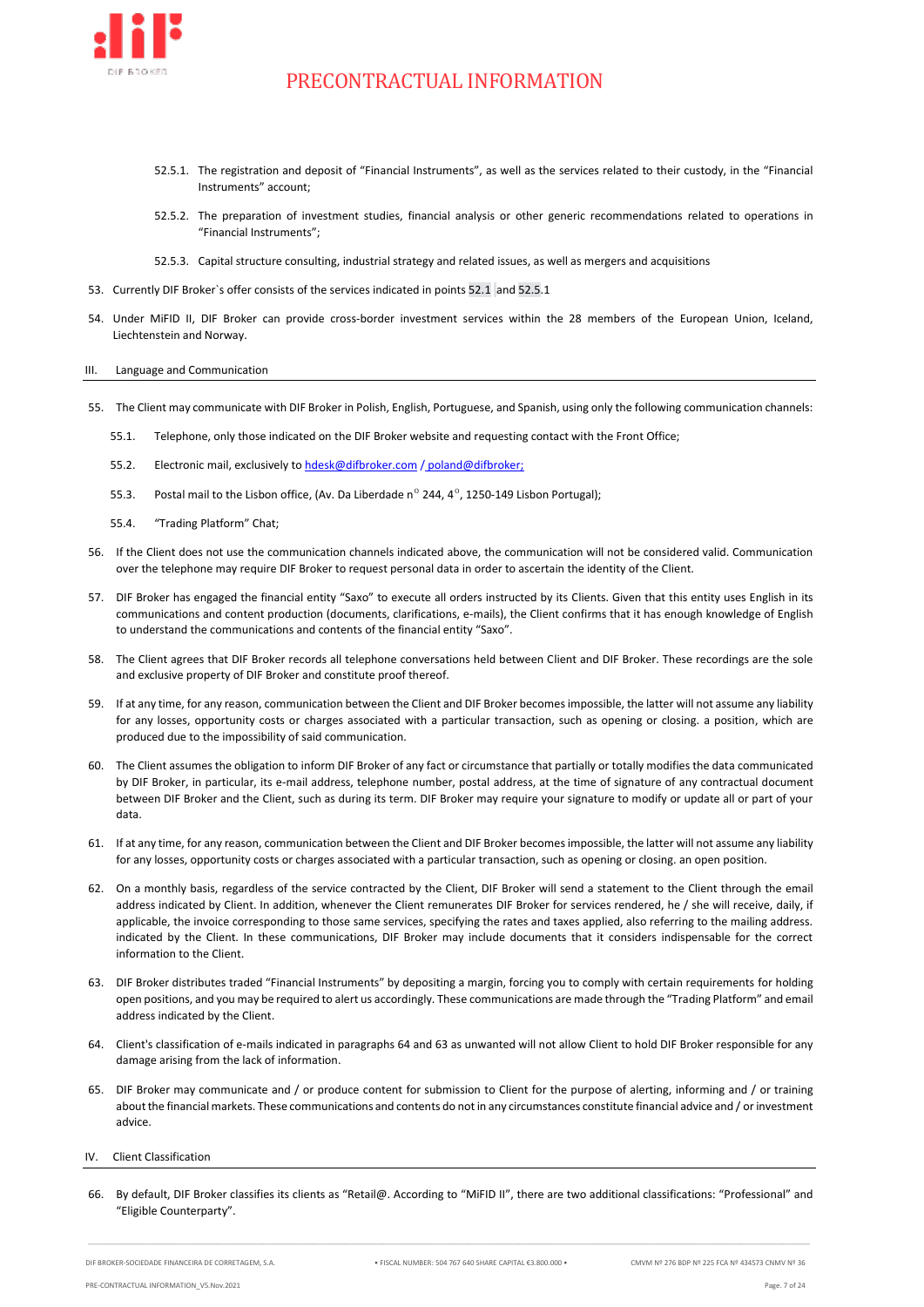

- 52.5.1. The registration and deposit of "Financial Instruments", as well as the services related to their custody, in the "Financial Instruments" account;
- 52.5.2. The preparation of investment studies, financial analysis or other generic recommendations related to operations in "Financial Instruments";
- 52.5.3. Capital structure consulting, industrial strategy and related issues, as well as mergers and acquisitions
- 53. Currently DIF Broker`s offer consists of the services indicated in points 52.1 and 52.5.1
- 54. Under MiFID II, DIF Broker can provide cross-border investment services within the 28 members of the European Union, Iceland, Liechtenstein and Norway.

#### <span id="page-6-0"></span>III. Language and Communication

- 55. The Client may communicate with DIF Broker in Polish, English, Portuguese, and Spanish, using only the following communication channels:
	- 55.1. Telephone, only those indicated on the DIF Broker website and requesting contact with the Front Office;
	- 55.2. Electronic mail, exclusively to [hdesk@difbroker.com](mailto:hdesk@difbroker.com%20/%20poland) / poland@difbroker;
	- 55.3. Postal mail to the Lisbon office, (Av. Da Liberdade  $n^{\circ}$  244,  $4^{\circ}$ , 1250-149 Lisbon Portugal);
	- 55.4. "Trading Platform" Chat;
- 56. If the Client does not use the communication channels indicated above, the communication will not be considered valid. Communication over the telephone may require DIF Broker to request personal data in order to ascertain the identity of the Client.
- 57. DIF Broker has engaged the financial entity "Saxo" to execute all orders instructed by its Clients. Given that this entity uses English in its communications and content production (documents, clarifications, e-mails), the Client confirms that it has enough knowledge of English to understand the communications and contents of the financial entity "Saxo".
- 58. The Client agrees that DIF Broker records all telephone conversations held between Client and DIF Broker. These recordings are the sole and exclusive property of DIF Broker and constitute proof thereof.
- 59. If at any time, for any reason, communication between the Client and DIF Broker becomes impossible, the latter will not assume any liability for any losses, opportunity costs or charges associated with a particular transaction, such as opening or closing. a position, which are produced due to the impossibility of said communication.
- 60. The Client assumes the obligation to inform DIF Broker of any fact or circumstance that partially or totally modifies the data communicated by DIF Broker, in particular, its e-mail address, telephone number, postal address, at the time of signature of any contractual document between DIF Broker and the Client, such as during its term. DIF Broker may require your signature to modify or update all or part of your data.
- 61. If at any time, for any reason, communication between the Client and DIF Broker becomes impossible, the latter will not assume any liability for any losses, opportunity costs or charges associated with a particular transaction, such as opening or closing. an open position.
- 62. On a monthly basis, regardless of the service contracted by the Client, DIF Broker will send a statement to the Client through the email address indicated by Client. In addition, whenever the Client remunerates DIF Broker for services rendered, he / she will receive, daily, if applicable, the invoice corresponding to those same services, specifying the rates and taxes applied, also referring to the mailing address. indicated by the Client. In these communications, DIF Broker may include documents that it considers indispensable for the correct information to the Client.
- <span id="page-6-3"></span>63. DIF Broker distributes traded "Financial Instruments" by depositing a margin, forcing you to comply with certain requirements for holding open positions, and you may be required to alert us accordingly. These communications are made through the "Trading Platform" and email address indicated by the Client.
- <span id="page-6-2"></span>64. Client's classification of e-mails indicated in paragraph[s 64](#page-6-2) and [63](#page-6-3) as unwanted will not allow Client to hold DIF Broker responsible for any damage arising from the lack of information.
- 65. DIF Broker may communicate and / or produce content for submission to Client for the purpose of alerting, informing and / or training about the financial markets. These communications and contents do not in any circumstances constitute financial advice and / or investment advice.

### <span id="page-6-1"></span>IV. Client Classification

66. By default, DIF Broker classifies its clients as "Retail@. According to "MiFID II", there are two additional classifications: "Professional" and "Eligible Counterparty".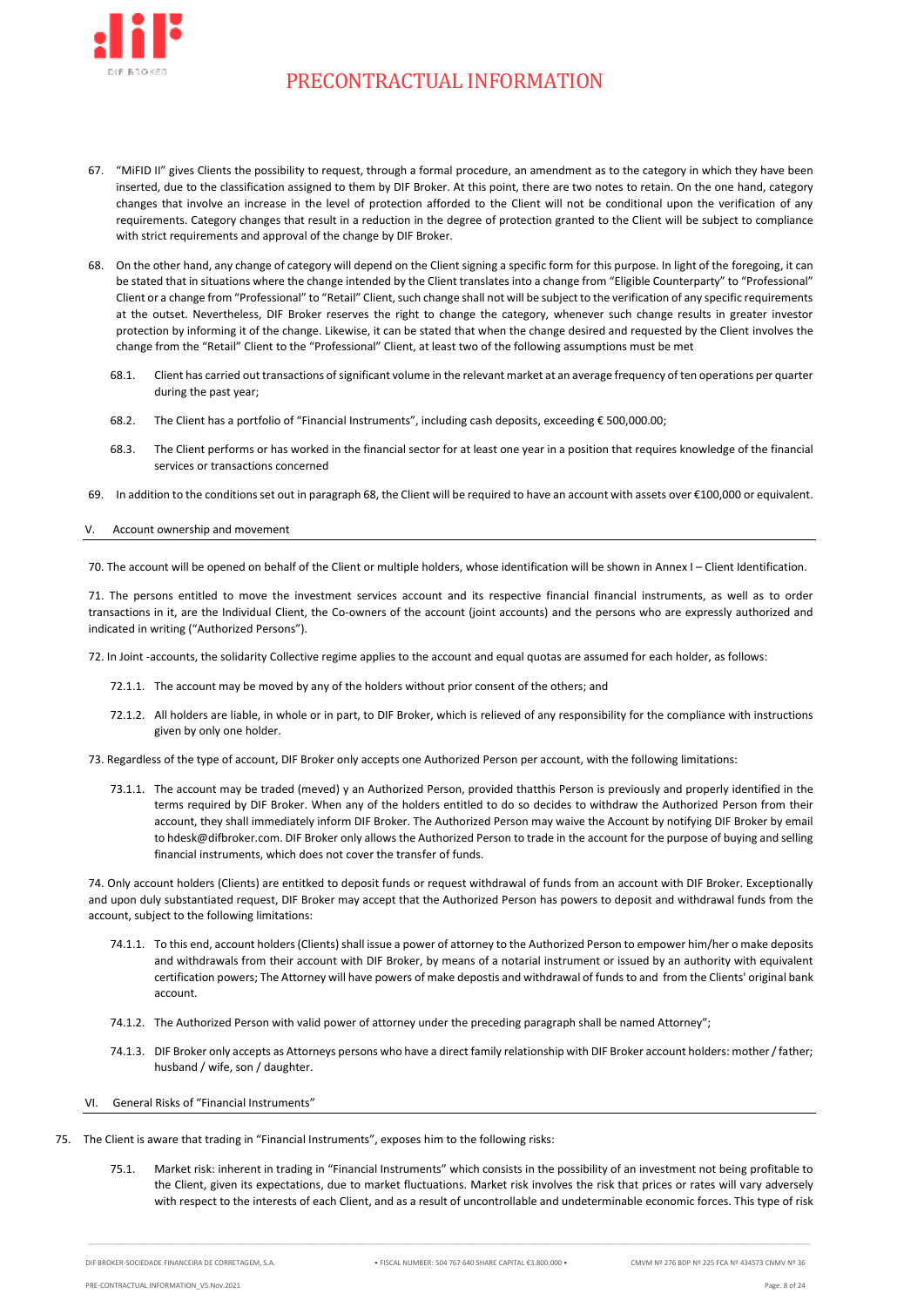

- 67. "MiFID II" gives Clients the possibility to request, through a formal procedure, an amendment as to the category in which they have been inserted, due to the classification assigned to them by DIF Broker. At this point, there are two notes to retain. On the one hand, category changes that involve an increase in the level of protection afforded to the Client will not be conditional upon the verification of any requirements. Category changes that result in a reduction in the degree of protection granted to the Client will be subject to compliance with strict requirements and approval of the change by DIF Broker.
- 68. On the other hand, any change of category will depend on the Client signing a specific form for this purpose. In light of the foregoing, it can be stated that in situations where the change intended by the Client translates into a change from "Eligible Counterparty" to "Professional" Client or a change from "Professional" to "Retail" Client, such change shall not will be subject to the verification of any specific requirements at the outset. Nevertheless, DIF Broker reserves the right to change the category, whenever such change results in greater investor protection by informing it of the change. Likewise, it can be stated that when the change desired and requested by the Client involves the change from the "Retail" Client to the "Professional" Client, at least two of the following assumptions must be met
	- 68.1. Client has carried out transactions of significant volume in the relevant market at an average frequency of ten operations per quarter during the past year;
	- 68.2. The Client has a portfolio of "Financial Instruments", including cash deposits, exceeding € 500,000.00;
	- 68.3. The Client performs or has worked in the financial sector for at least one year in a position that requires knowledge of the financial services or transactions concerned
- 69. In addition to the conditions set out in paragraph 68, the Client will be required to have an account with assets over €100,000 or equivalent.

### <span id="page-7-0"></span>V. Account ownership and movement

70. The account will be opened on behalf of the Client or multiple holders, whose identification will be shown in Annex I – Client Identification.

71. The persons entitled to move the investment services account and its respective financial financial instruments, as well as to order transactions in it, are the Individual Client, the Co-owners of the account (joint accounts) and the persons who are expressly authorized and indicated in writing ("Authorized Persons").

72. In Joint -accounts, the solidarity Collective regime applies to the account and equal quotas are assumed for each holder, as follows:

- 72.1.1. The account may be moved by any of the holders without prior consent of the others; and
- 72.1.2. All holders are liable, in whole or in part, to DIF Broker, which is relieved of any responsibility for the compliance with instructions given by only one holder.
- 73. Regardless of the type of account, DIF Broker only accepts one Authorized Person per account, with the following limitations:
	- 73.1.1. The account may be traded (meved) y an Authorized Person, provided thatthis Person is previously and properly identified in the terms required by DIF Broker. When any of the holders entitled to do so decides to withdraw the Authorized Person from their account, they shall immediately inform DIF Broker. The Authorized Person may waive the Account by notifying DIF Broker by email to hdesk@difbroker.com. DIF Broker only allows the Authorized Person to trade in the account for the purpose of buying and selling financial instruments, which does not cover the transfer of funds.

74. Only account holders (Clients) are entitked to deposit funds or request withdrawal of funds from an account with DIF Broker. Exceptionally and upon duly substantiated request, DIF Broker may accept that the Authorized Person has powers to deposit and withdrawal funds from the account, subject to the following limitations:

- 74.1.1. To this end, account holders (Clients) shall issue a power of attorney to the Authorized Person to empower him/her o make deposits and withdrawals from their account with DIF Broker, by means of a notarial instrument or issued by an authority with equivalent certification powers; The Attorney will have powers of make depostis and withdrawal of funds to and from the Clients' original bank account.
- 74.1.2. The Authorized Person with valid power of attorney under the preceding paragraph shall be named Attorney";
- 74.1.3. DIF Broker only accepts as Attorneys persons who have a direct family relationship with DIF Broker account holders: mother / father; husband / wife, son / daughter.
- VI. General Risks of "Financial Instruments"
- <span id="page-7-1"></span>75. The Client is aware that trading in "Financial Instruments", exposes him to the following risks:
	- 75.1. Market risk: inherent in trading in "Financial Instruments" which consists in the possibility of an investment not being profitable to the Client, given its expectations, due to market fluctuations. Market risk involves the risk that prices or rates will vary adversely with respect to the interests of each Client, and as a result of uncontrollable and undeterminable economic forces. This type of risk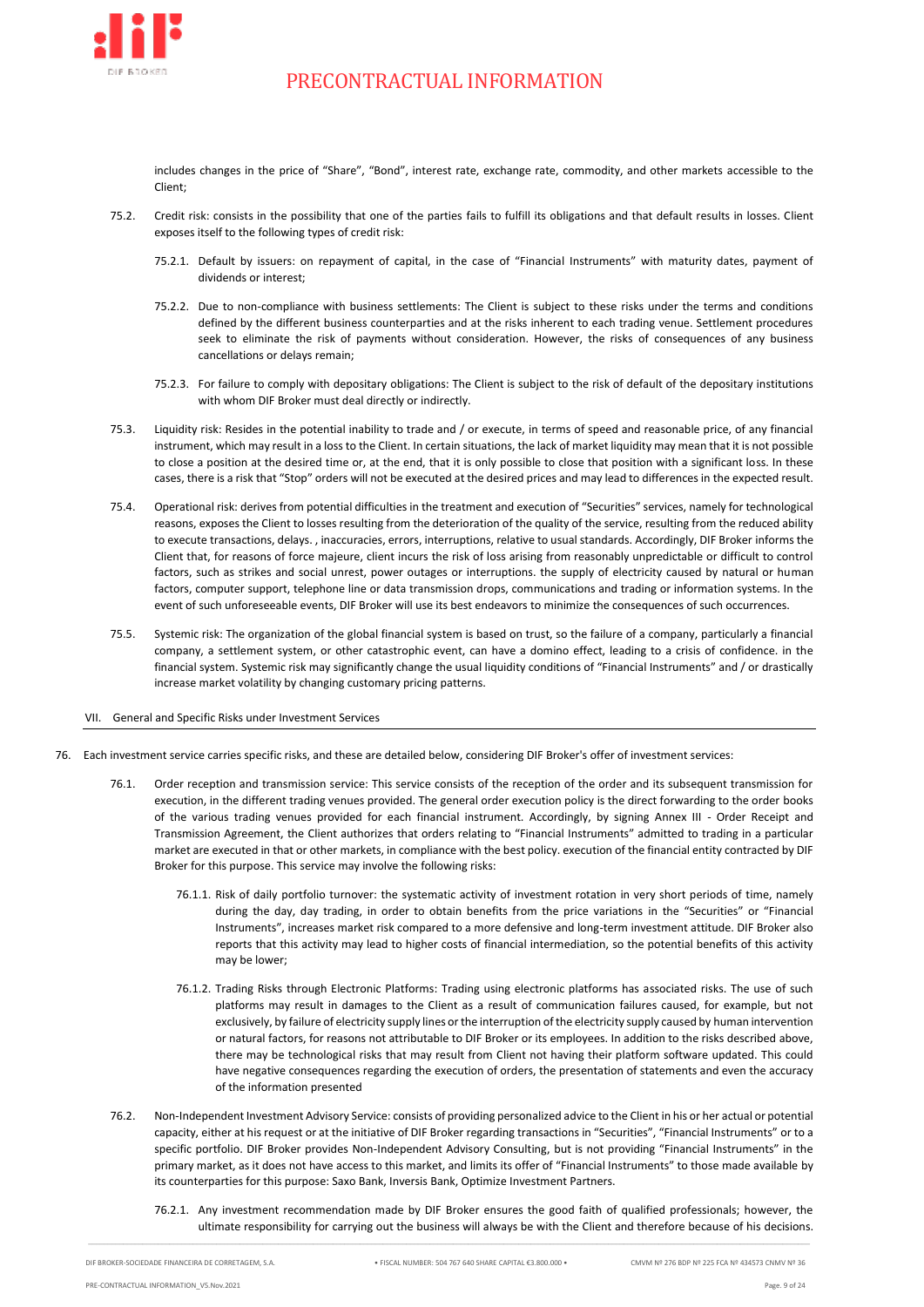

includes changes in the price of "Share", "Bond", interest rate, exchange rate, commodity, and other markets accessible to the Client;

- <span id="page-8-3"></span>75.2. Credit risk: consists in the possibility that one of the parties fails to fulfill its obligations and that default results in losses. Client exposes itself to the following types of credit risk:
	- 75.2.1. Default by issuers: on repayment of capital, in the case of "Financial Instruments" with maturity dates, payment of dividends or interest;
	- 75.2.2. Due to non-compliance with business settlements: The Client is subject to these risks under the terms and conditions defined by the different business counterparties and at the risks inherent to each trading venue. Settlement procedures seek to eliminate the risk of payments without consideration. However, the risks of consequences of any business cancellations or delays remain;
	- 75.2.3. For failure to comply with depositary obligations: The Client is subject to the risk of default of the depositary institutions with whom DIF Broker must deal directly or indirectly.
- <span id="page-8-2"></span>75.3. Liquidity risk: Resides in the potential inability to trade and / or execute, in terms of speed and reasonable price, of any financial instrument, which may result in a loss to the Client. In certain situations, the lack of market liquidity may mean that it is not possible to close a position at the desired time or, at the end, that it is only possible to close that position with a significant loss. In these cases, there is a risk that "Stop" orders will not be executed at the desired prices and may lead to differences in the expected result.
- 75.4. Operational risk: derives from potential difficulties in the treatment and execution of "Securities" services, namely for technological reasons, exposes the Client to losses resulting from the deterioration of the quality of the service, resulting from the reduced ability to execute transactions, delays. , inaccuracies, errors, interruptions, relative to usual standards. Accordingly, DIF Broker informs the Client that, for reasons of force majeure, client incurs the risk of loss arising from reasonably unpredictable or difficult to control factors, such as strikes and social unrest, power outages or interruptions. the supply of electricity caused by natural or human factors, computer support, telephone line or data transmission drops, communications and trading or information systems. In the event of such unforeseeable events, DIF Broker will use its best endeavors to minimize the consequences of such occurrences.
- 75.5. Systemic risk: The organization of the global financial system is based on trust, so the failure of a company, particularly a financial company, a settlement system, or other catastrophic event, can have a domino effect, leading to a crisis of confidence. in the financial system. Systemic risk may significantly change the usual liquidity conditions of "Financial Instruments" and / or drastically increase market volatility by changing customary pricing patterns.
- General and Specific Risks under Investment Services
- <span id="page-8-1"></span><span id="page-8-0"></span>76. Each investment service carries specific risks, and these are detailed below, considering DIF Broker's offer of investment services:
	- 76.1. Order reception and transmission service: This service consists of the reception of the order and its subsequent transmission for execution, in the different trading venues provided. The general order execution policy is the direct forwarding to the order books of the various trading venues provided for each financial instrument. Accordingly, by signing Annex III - Order Receipt and Transmission Agreement, the Client authorizes that orders relating to "Financial Instruments" admitted to trading in a particular market are executed in that or other markets, in compliance with the best policy. execution of the financial entity contracted by DIF Broker for this purpose. This service may involve the following risks:
		- 76.1.1. Risk of daily portfolio turnover: the systematic activity of investment rotation in very short periods of time, namely during the day, day trading, in order to obtain benefits from the price variations in the "Securities" or "Financial Instruments", increases market risk compared to a more defensive and long-term investment attitude. DIF Broker also reports that this activity may lead to higher costs of financial intermediation, so the potential benefits of this activity may be lower;
		- 76.1.2. Trading Risks through Electronic Platforms: Trading using electronic platforms has associated risks. The use of such platforms may result in damages to the Client as a result of communication failures caused, for example, but not exclusively, by failure of electricity supply lines or the interruption of the electricity supply caused by human intervention or natural factors, for reasons not attributable to DIF Broker or its employees. In addition to the risks described above, there may be technological risks that may result from Client not having their platform software updated. This could have negative consequences regarding the execution of orders, the presentation of statements and even the accuracy of the information presented
	- 76.2. Non-Independent Investment Advisory Service: consists of providing personalized advice to the Client in his or her actual or potential capacity, either at his request or at the initiative of DIF Broker regarding transactions in "Securities", "Financial Instruments" or to a specific portfolio. DIF Broker provides Non-Independent Advisory Consulting, but is not providing "Financial Instruments" in the primary market, as it does not have access to this market, and limits its offer of "Financial Instruments" to those made available by its counterparties for this purpose: Saxo Bank, Inversis Bank, Optimize Investment Partners.
		- 76.2.1. Any investment recommendation made by DIF Broker ensures the good faith of qualified professionals; however, the ultimate responsibility for carrying out the business will always be with the Client and therefore because of his decisions.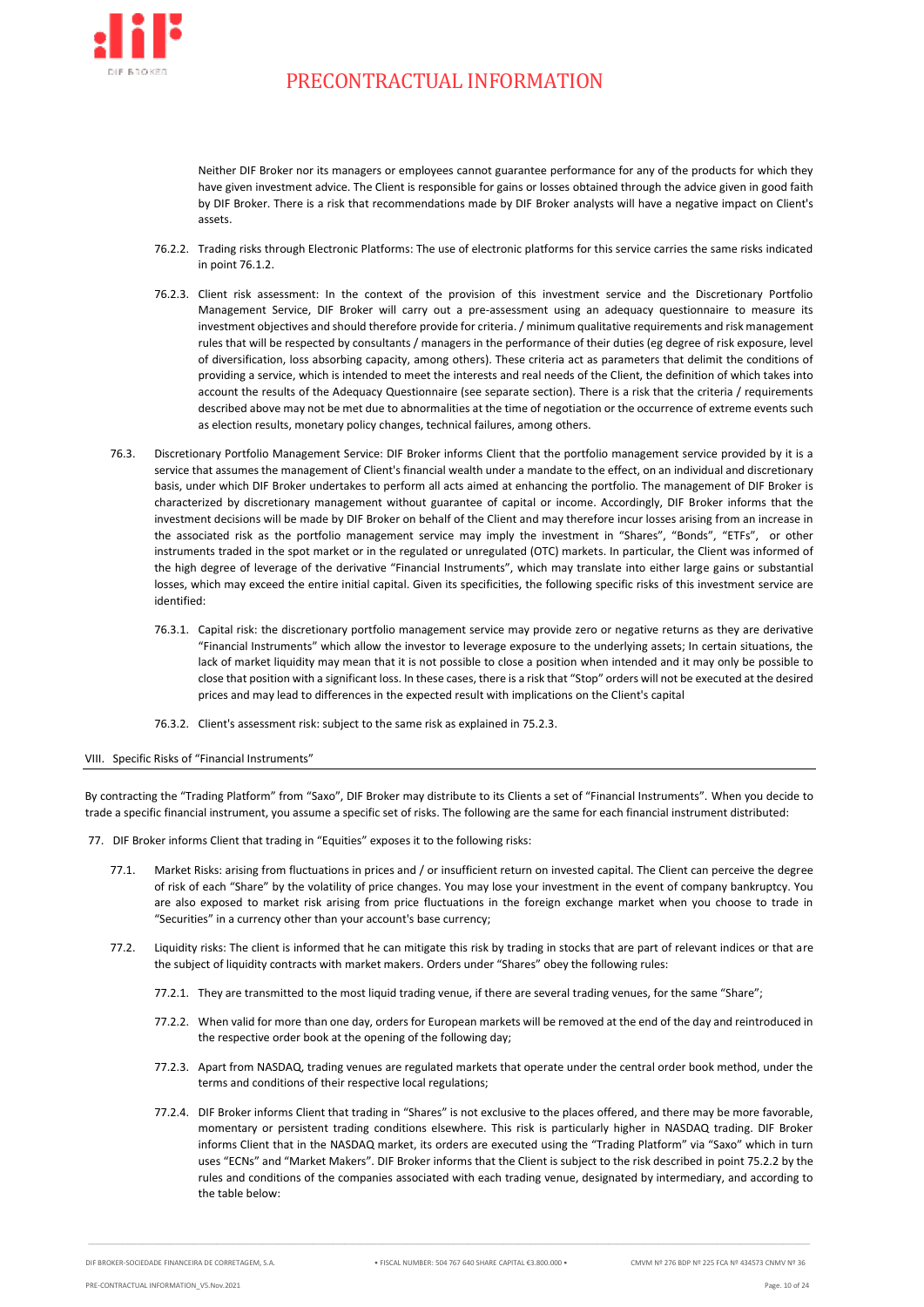

Neither DIF Broker nor its managers or employees cannot guarantee performance for any of the products for which they have given investment advice. The Client is responsible for gains or losses obtained through the advice given in good faith by DIF Broker. There is a risk that recommendations made by DIF Broker analysts will have a negative impact on Client's assets.

- 76.2.2. Trading risks through Electronic Platforms: The use of electronic platforms for this service carries the same risks indicated in poin[t 76.1.2.](#page-8-1)
- 76.2.3. Client risk assessment: In the context of the provision of this investment service and the Discretionary Portfolio Management Service, DIF Broker will carry out a pre-assessment using an adequacy questionnaire to measure its investment objectives and should therefore provide for criteria. / minimum qualitative requirements and risk management rules that will be respected by consultants / managers in the performance of their duties (eg degree of risk exposure, level of diversification, loss absorbing capacity, among others). These criteria act as parameters that delimit the conditions of providing a service, which is intended to meet the interests and real needs of the Client, the definition of which takes into account the results of the Adequacy Questionnaire (see separate section). There is a risk that the criteria / requirements described above may not be met due to abnormalities at the time of negotiation or the occurrence of extreme events such as election results, monetary policy changes, technical failures, among others.
- 76.3. Discretionary Portfolio Management Service: DIF Broker informs Client that the portfolio management service provided by it is a service that assumes the management of Client's financial wealth under a mandate to the effect, on an individual and discretionary basis, under which DIF Broker undertakes to perform all acts aimed at enhancing the portfolio. The management of DIF Broker is characterized by discretionary management without guarantee of capital or income. Accordingly, DIF Broker informs that the investment decisions will be made by DIF Broker on behalf of the Client and may therefore incur losses arising from an increase in the associated risk as the portfolio management service may imply the investment in "Shares", "Bonds", "ETFs", or other instruments traded in the spot market or in the regulated or unregulated (OTC) markets. In particular, the Client was informed of the high degree of leverage of the derivative "Financial Instruments", which may translate into either large gains or substantial losses, which may exceed the entire initial capital. Given its specificities, the following specific risks of this investment service are identified:
	- 76.3.1. Capital risk: the discretionary portfolio management service may provide zero or negative returns as they are derivative "Financial Instruments" which allow the investor to leverage exposure to the underlying assets; In certain situations, the lack of market liquidity may mean that it is not possible to close a position when intended and it may only be possible to close that position with a significant loss. In these cases, there is a risk that "Stop" orders will not be executed at the desired prices and may lead to differences in the expected result with implications on the Client's capital
	- 76.3.2. Client's assessment risk: subject to the same risk as explained in [75.2.3.](#page-8-2)

#### <span id="page-9-0"></span>VIII. Specific Risks of "Financial Instruments"

By contracting the "Trading Platform" from "Saxo", DIF Broker may distribute to its Clients a set of "Financial Instruments". When you decide to trade a specific financial instrument, you assume a specific set of risks. The following are the same for each financial instrument distributed:

- <span id="page-9-1"></span>77. DIF Broker informs Client that trading in "Equities" exposes it to the following risks:
	- 77.1. Market Risks: arising from fluctuations in prices and / or insufficient return on invested capital. The Client can perceive the degree of risk of each "Share" by the volatility of price changes. You may lose your investment in the event of company bankruptcy. You are also exposed to market risk arising from price fluctuations in the foreign exchange market when you choose to trade in "Securities" in a currency other than your account's base currency;
	- 77.2. Liquidity risks: The client is informed that he can mitigate this risk by trading in stocks that are part of relevant indices or that are the subject of liquidity contracts with market makers. Orders under "Shares" obey the following rules:
		- 77.2.1. They are transmitted to the most liquid trading venue, if there are several trading venues, for the same "Share";
		- 77.2.2. When valid for more than one day, orders for European markets will be removed at the end of the day and reintroduced in the respective order book at the opening of the following day;
		- 77.2.3. Apart from NASDAQ, trading venues are regulated markets that operate under the central order book method, under the terms and conditions of their respective local regulations;
		- 77.2.4. DIF Broker informs Client that trading in "Shares" is not exclusive to the places offered, and there may be more favorable, momentary or persistent trading conditions elsewhere. This risk is particularly higher in NASDAQ trading. DIF Broker informs Client that in the NASDAQ market, its orders are executed using the "Trading Platform" via "Saxo" which in turn uses "ECNs" and "Market Makers". DIF Broker informs that the Client is subject to the risk described in poin[t 75.2.2](#page-8-3) by the rules and conditions of the companies associated with each trading venue, designated by intermediary, and according to the table below: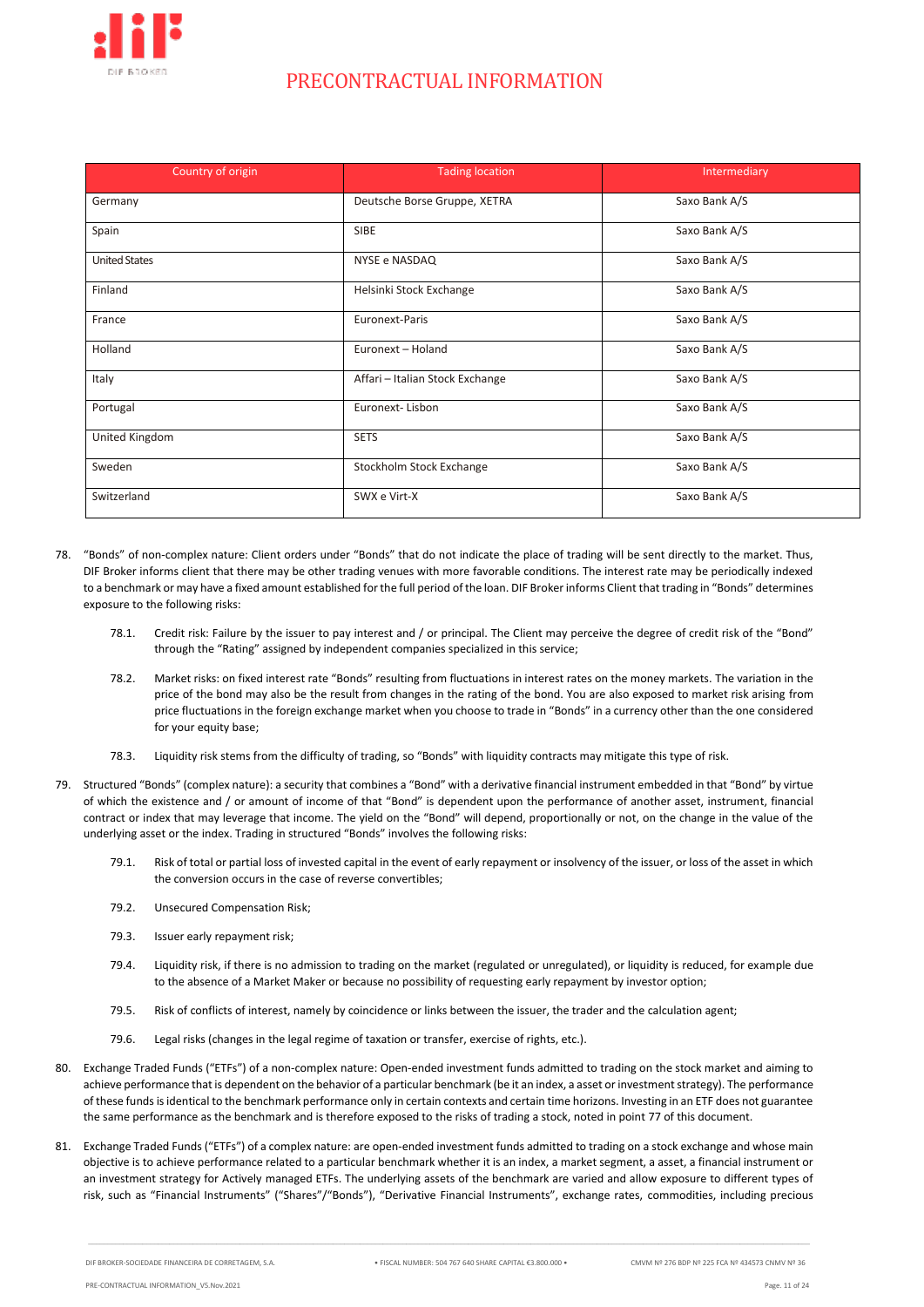

| Country of origin    | <b>Tading location</b>          | Intermediary  |  |
|----------------------|---------------------------------|---------------|--|
| Germany              | Deutsche Borse Gruppe, XETRA    | Saxo Bank A/S |  |
| Spain                | <b>SIBE</b>                     | Saxo Bank A/S |  |
| <b>United States</b> | NYSE e NASDAQ                   | Saxo Bank A/S |  |
| Finland              | Helsinki Stock Exchange         | Saxo Bank A/S |  |
| France               | Euronext-Paris                  | Saxo Bank A/S |  |
| Holland              | Euronext - Holand               | Saxo Bank A/S |  |
| Italy                | Affari - Italian Stock Exchange | Saxo Bank A/S |  |
| Portugal             | Euronext-Lisbon                 | Saxo Bank A/S |  |
| United Kingdom       | <b>SETS</b>                     | Saxo Bank A/S |  |
| Sweden               | Stockholm Stock Exchange        | Saxo Bank A/S |  |
| Switzerland          | SWX e Virt-X                    | Saxo Bank A/S |  |

- 78. "Bonds" of non-complex nature: Client orders under "Bonds" that do not indicate the place of trading will be sent directly to the market. Thus, DIF Broker informs client that there may be other trading venues with more favorable conditions. The interest rate may be periodically indexed to a benchmark or may have a fixed amount established for the full period of the loan. DIF Broker informs Client that trading in "Bonds" determines exposure to the following risks:
	- 78.1. Credit risk: Failure by the issuer to pay interest and / or principal. The Client may perceive the degree of credit risk of the "Bond" through the "Rating" assigned by independent companies specialized in this service;
	- 78.2. Market risks: on fixed interest rate "Bonds" resulting from fluctuations in interest rates on the money markets. The variation in the price of the bond may also be the result from changes in the rating of the bond. You are also exposed to market risk arising from price fluctuations in the foreign exchange market when you choose to trade in "Bonds" in a currency other than the one considered for your equity base;
	- 78.3. Liquidity risk stems from the difficulty of trading, so "Bonds" with liquidity contracts may mitigate this type of risk.
- 79. Structured "Bonds" (complex nature): a security that combines a "Bond" with a derivative financial instrument embedded in that "Bond" by virtue of which the existence and / or amount of income of that "Bond" is dependent upon the performance of another asset, instrument, financial contract or index that may leverage that income. The yield on the "Bond" will depend, proportionally or not, on the change in the value of the underlying asset or the index. Trading in structured "Bonds" involves the following risks:
	- 79.1. Risk of total or partial loss of invested capital in the event of early repayment or insolvency of the issuer, or loss of the asset in which the conversion occurs in the case of reverse convertibles;
	- 79.2. Unsecured Compensation Risk;
	- 79.3. Issuer early repayment risk;
	- 79.4. Liquidity risk, if there is no admission to trading on the market (regulated or unregulated), or liquidity is reduced, for example due to the absence of a Market Maker or because no possibility of requesting early repayment by investor option;
	- 79.5. Risk of conflicts of interest, namely by coincidence or links between the issuer, the trader and the calculation agent;
	- 79.6. Legal risks (changes in the legal regime of taxation or transfer, exercise of rights, etc.).
- 80. Exchange Traded Funds ("ETFs") of a non-complex nature: Open-ended investment funds admitted to trading on the stock market and aiming to achieve performance that is dependent on the behavior of a particular benchmark (be it an index, a asset or investment strategy). The performance of these funds is identical to the benchmark performance only in certain contexts and certain time horizons. Investing in an ETF does not guarantee the same performance as the benchmark and is therefore exposed to the risks of trading a stock, noted in poin[t 77](#page-9-1) of this document.
- 81. Exchange Traded Funds ("ETFs") of a complex nature: are open-ended investment funds admitted to trading on a stock exchange and whose main objective is to achieve performance related to a particular benchmark whether it is an index, a market segment, a asset, a financial instrument or an investment strategy for Actively managed ETFs. The underlying assets of the benchmark are varied and allow exposure to different types of risk, such as "Financial Instruments" ("Shares"/"Bonds"), "Derivative Financial Instruments", exchange rates, commodities, including precious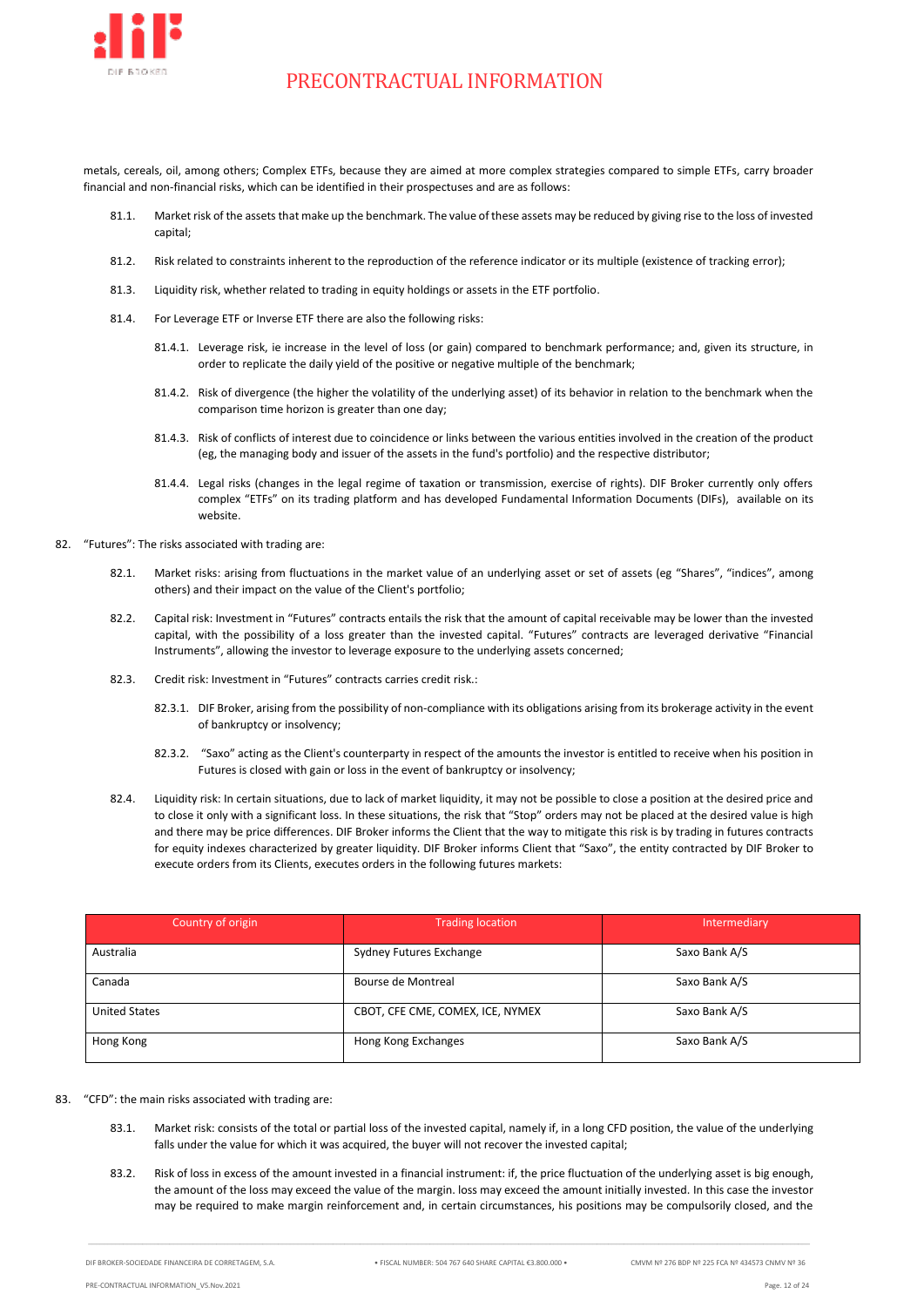

metals, cereals, oil, among others; Complex ETFs, because they are aimed at more complex strategies compared to simple ETFs, carry broader financial and non-financial risks, which can be identified in their prospectuses and are as follows:

- 81.1. Market risk of the assets that make up the benchmark. The value of these assets may be reduced by giving rise to the loss of invested capital;
- 81.2. Risk related to constraints inherent to the reproduction of the reference indicator or its multiple (existence of tracking error);
- 81.3. Liquidity risk, whether related to trading in equity holdings or assets in the ETF portfolio.
- 81.4. For Leverage ETF or Inverse ETF there are also the following risks:
	- 81.4.1. Leverage risk, ie increase in the level of loss (or gain) compared to benchmark performance; and, given its structure, in order to replicate the daily yield of the positive or negative multiple of the benchmark;
	- 81.4.2. Risk of divergence (the higher the volatility of the underlying asset) of its behavior in relation to the benchmark when the comparison time horizon is greater than one day;
	- 81.4.3. Risk of conflicts of interest due to coincidence or links between the various entities involved in the creation of the product (eg, the managing body and issuer of the assets in the fund's portfolio) and the respective distributor;
	- 81.4.4. Legal risks (changes in the legal regime of taxation or transmission, exercise of rights). DIF Broker currently only offers complex "ETFs" on its trading platform and has developed Fundamental Information Documents (DIFs), available on its website.
- 82. "Futures": The risks associated with trading are:
	- 82.1. Market risks: arising from fluctuations in the market value of an underlying asset or set of assets (eg "Shares", "indices", among others) and their impact on the value of the Client's portfolio;
	- 82.2. Capital risk: Investment in "Futures" contracts entails the risk that the amount of capital receivable may be lower than the invested capital, with the possibility of a loss greater than the invested capital. "Futures" contracts are leveraged derivative "Financial Instruments", allowing the investor to leverage exposure to the underlying assets concerned;
	- 82.3. Credit risk: Investment in "Futures" contracts carries credit risk.:
		- 82.3.1. DIF Broker, arising from the possibility of non-compliance with its obligations arising from its brokerage activity in the event of bankruptcy or insolvency;
		- 82.3.2. "Saxo" acting as the Client's counterparty in respect of the amounts the investor is entitled to receive when his position in Futures is closed with gain or loss in the event of bankruptcy or insolvency;
	- 82.4. Liquidity risk: In certain situations, due to lack of market liquidity, it may not be possible to close a position at the desired price and to close it only with a significant loss. In these situations, the risk that "Stop" orders may not be placed at the desired value is high and there may be price differences. DIF Broker informs the Client that the way to mitigate this risk is by trading in futures contracts for equity indexes characterized by greater liquidity. DIF Broker informs Client that "Saxo", the entity contracted by DIF Broker to execute orders from its Clients, executes orders in the following futures markets:

| Country of origin    | <b>Trading location</b>          | Intermediary  |  |  |
|----------------------|----------------------------------|---------------|--|--|
| Australia            | Sydney Futures Exchange          | Saxo Bank A/S |  |  |
| Canada               | Bourse de Montreal               | Saxo Bank A/S |  |  |
| <b>United States</b> | CBOT, CFE CME, COMEX, ICE, NYMEX | Saxo Bank A/S |  |  |
| Hong Kong            | Hong Kong Exchanges              | Saxo Bank A/S |  |  |

#### 83. "CFD": the main risks associated with trading are:

- 83.1. Market risk: consists of the total or partial loss of the invested capital, namely if, in a long CFD position, the value of the underlying falls under the value for which it was acquired, the buyer will not recover the invested capital;
- 83.2. Risk of loss in excess of the amount invested in a financial instrument: if, the price fluctuation of the underlying asset is big enough, the amount of the loss may exceed the value of the margin. loss may exceed the amount initially invested. In this case the investor may be required to make margin reinforcement and, in certain circumstances, his positions may be compulsorily closed, and the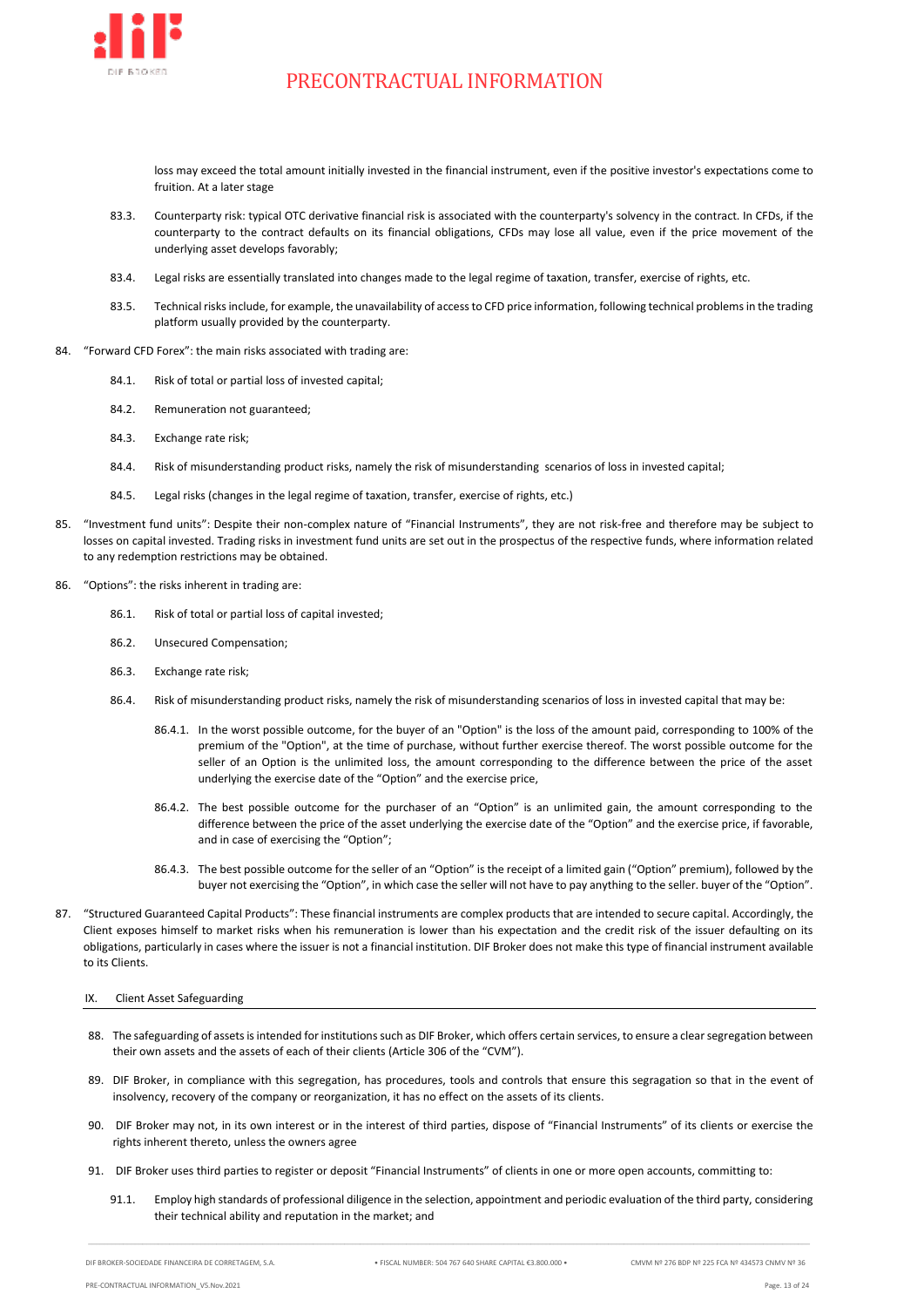

loss may exceed the total amount initially invested in the financial instrument, even if the positive investor's expectations come to fruition. At a later stage

- 83.3. Counterparty risk: typical OTC derivative financial risk is associated with the counterparty's solvency in the contract. In CFDs, if the counterparty to the contract defaults on its financial obligations, CFDs may lose all value, even if the price movement of the underlying asset develops favorably;
- 83.4. Legal risks are essentially translated into changes made to the legal regime of taxation, transfer, exercise of rights, etc.
- 83.5. Technical risks include, for example, the unavailability of access to CFD price information, following technical problems in the trading platform usually provided by the counterparty.
- 84. "Forward CFD Forex": the main risks associated with trading are:
	- 84.1. Risk of total or partial loss of invested capital;
	- 84.2. Remuneration not guaranteed;
	- 84.3. Exchange rate risk;
	- 84.4. Risk of misunderstanding product risks, namely the risk of misunderstanding scenarios of loss in invested capital;
	- 84.5. Legal risks (changes in the legal regime of taxation, transfer, exercise of rights, etc.)
- 85. "Investment fund units": Despite their non-complex nature of "Financial Instruments", they are not risk-free and therefore may be subject to losses on capital invested. Trading risks in investment fund units are set out in the prospectus of the respective funds, where information related to any redemption restrictions may be obtained.
- 86. "Options": the risks inherent in trading are:
	- 86.1. Risk of total or partial loss of capital invested;
	- 86.2. Unsecured Compensation;
	- 86.3. Exchange rate risk;
	- 86.4. Risk of misunderstanding product risks, namely the risk of misunderstanding scenarios of loss in invested capital that may be:
		- 86.4.1. In the worst possible outcome, for the buyer of an "Option" is the loss of the amount paid, corresponding to 100% of the premium of the "Option", at the time of purchase, without further exercise thereof. The worst possible outcome for the seller of an Option is the unlimited loss, the amount corresponding to the difference between the price of the asset underlying the exercise date of the "Option" and the exercise price,
		- 86.4.2. The best possible outcome for the purchaser of an "Option" is an unlimited gain, the amount corresponding to the difference between the price of the asset underlying the exercise date of the "Option" and the exercise price, if favorable, and in case of exercising the "Option";
		- 86.4.3. The best possible outcome for the seller of an "Option" is the receipt of a limited gain ("Option" premium), followed by the buyer not exercising the "Option", in which case the seller will not have to pay anything to the seller. buyer of the "Option".
- 87. "Structured Guaranteed Capital Products": These financial instruments are complex products that are intended to secure capital. Accordingly, the Client exposes himself to market risks when his remuneration is lower than his expectation and the credit risk of the issuer defaulting on its obligations, particularly in cases where the issuer is not a financial institution. DIF Broker does not make this type of financial instrument available to its Clients.

#### <span id="page-12-0"></span>IX. Client Asset Safeguarding

- 88. The safeguarding of assets is intended for institutions such as DIF Broker, which offers certain services, to ensure a clear segregation between their own assets and the assets of each of their clients (Article 306 of the "CVM").
- 89. DIF Broker, in compliance with this segregation, has procedures, tools and controls that ensure this segragation so that in the event of insolvency, recovery of the company or reorganization, it has no effect on the assets of its clients.
- 90. DIF Broker may not, in its own interest or in the interest of third parties, dispose of "Financial Instruments" of its clients or exercise the rights inherent thereto, unless the owners agree
- 91. DIF Broker uses third parties to register or deposit "Financial Instruments" of clients in one or more open accounts, committing to:
	- 91.1. Employ high standards of professional diligence in the selection, appointment and periodic evaluation of the third party, considering their technical ability and reputation in the market; and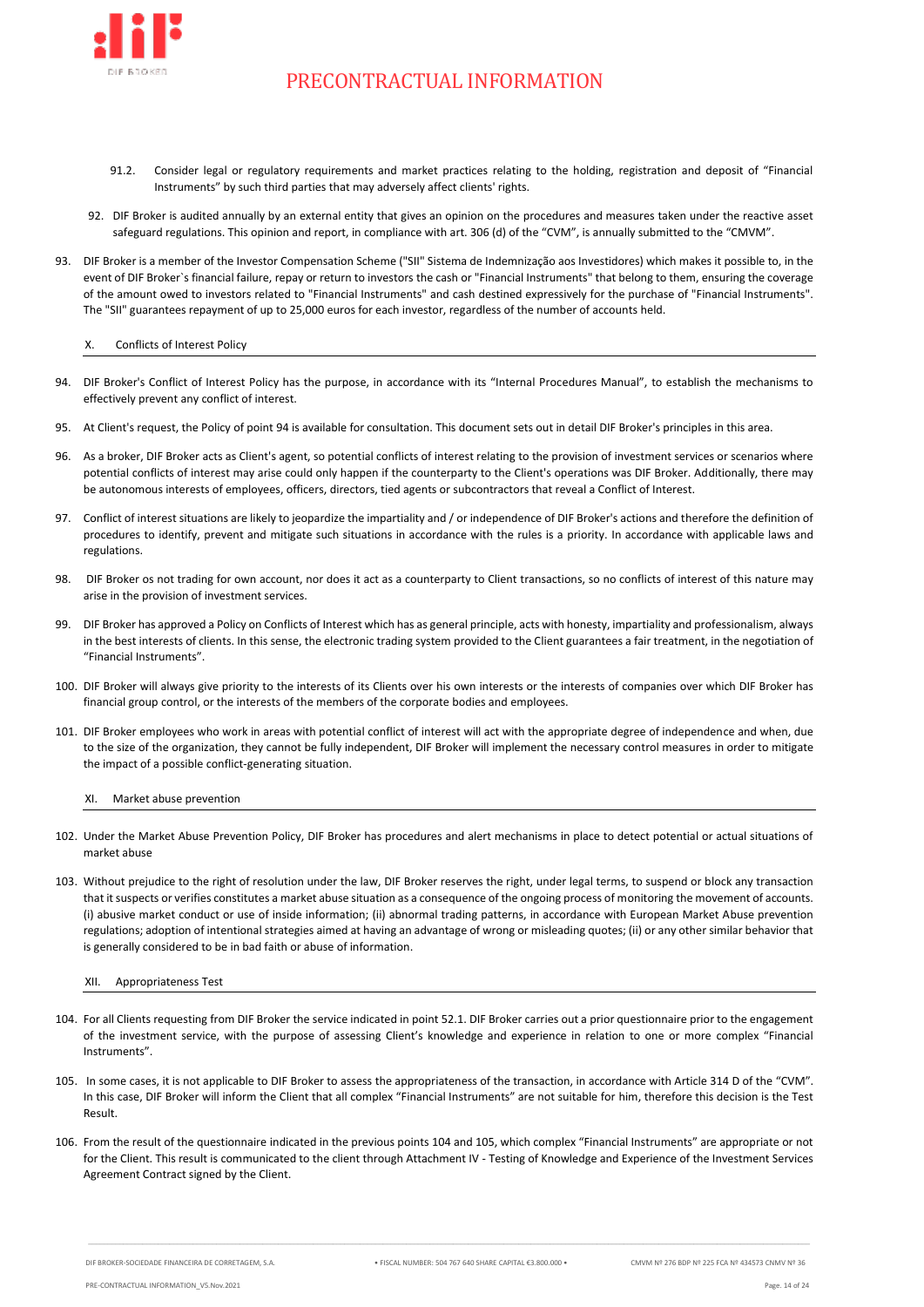

- 91.2. Consider legal or regulatory requirements and market practices relating to the holding, registration and deposit of "Financial Instruments" by such third parties that may adversely affect clients' rights.
- 92. DIF Broker is audited annually by an external entity that gives an opinion on the procedures and measures taken under the reactive asset safeguard regulations. This opinion and report, in compliance with art. 306 (d) of the "CVM", is annually submitted to the "CMVM".
- 93. DIF Broker is a member of the Investor Compensation Scheme ("SII" Sistema de Indemnização aos Investidores) which makes it possible to, in the event of DIF Broker`s financial failure, repay or return to investors the cash or "Financial Instruments" that belong to them, ensuring the coverage of the amount owed to investors related to "Financial Instruments" and cash destined expressively for the purchase of "Financial Instruments". The "SII" guarantees repayment of up to 25,000 euros for each investor, regardless of the number of accounts held.

#### <span id="page-13-0"></span>X. Conflicts of Interest Policy

- <span id="page-13-3"></span>94. DIF Broker's Conflict of Interest Policy has the purpose, in accordance with its "Internal Procedures Manual", to establish the mechanisms to effectively prevent any conflict of interest.
- 95. At Client's request, the Policy of poin[t 94](#page-13-3) is available for consultation. This document sets out in detail DIF Broker's principles in this area.
- 96. As a broker, DIF Broker acts as Client's agent, so potential conflicts of interest relating to the provision of investment services or scenarios where potential conflicts of interest may arise could only happen if the counterparty to the Client's operations was DIF Broker. Additionally, there may be autonomous interests of employees, officers, directors, tied agents or subcontractors that reveal a Conflict of Interest.
- 97. Conflict of interest situations are likely to jeopardize the impartiality and / or independence of DIF Broker's actions and therefore the definition of procedures to identify, prevent and mitigate such situations in accordance with the rules is a priority. In accordance with applicable laws and regulations.
- 98. DIF Broker os not trading for own account, nor does it act as a counterparty to Client transactions, so no conflicts of interest of this nature may arise in the provision of investment services.
- 99. DIF Broker has approved a Policy on Conflicts of Interest which has as general principle, acts with honesty, impartiality and professionalism, always in the best interests of clients. In this sense, the electronic trading system provided to the Client guarantees a fair treatment, in the negotiation of "Financial Instruments".
- 100. DIF Broker will always give priority to the interests of its Clients over his own interests or the interests of companies over which DIF Broker has financial group control, or the interests of the members of the corporate bodies and employees.
- 101. DIF Broker employees who work in areas with potential conflict of interest will act with the appropriate degree of independence and when, due to the size of the organization, they cannot be fully independent, DIF Broker will implement the necessary control measures in order to mitigate the impact of a possible conflict-generating situation.

#### XI. Market abuse prevention

- <span id="page-13-1"></span>102. Under the Market Abuse Prevention Policy, DIF Broker has procedures and alert mechanisms in place to detect potential or actual situations of market abuse
- 103. Without prejudice to the right of resolution under the law, DIF Broker reserves the right, under legal terms, to suspend or block any transaction that it suspects or verifies constitutes a market abuse situation as a consequence of the ongoing process of monitoring the movement of accounts. (i) abusive market conduct or use of inside information; (ii) abnormal trading patterns, in accordance with European Market Abuse prevention regulations; adoption of intentional strategies aimed at having an advantage of wrong or misleading quotes; (ii) or any other similar behavior that is generally considered to be in bad faith or abuse of information.

#### <span id="page-13-2"></span>XII. Appropriateness Test

- <span id="page-13-4"></span>104. For all Clients requesting from DIF Broker the service indicated in point [52.1.](#page-5-1) DIF Broker carries out a prior questionnaire prior to the engagement of the investment service, with the purpose of assessing Client's knowledge and experience in relation to one or more complex "Financial Instruments".
- <span id="page-13-5"></span>105. In some cases, it is not applicable to DIF Broker to assess the appropriateness of the transaction, in accordance with Article 314 D of the "CVM". In this case, DIF Broker will inform the Client that all complex "Financial Instruments" are not suitable for him, therefore this decision is the Test Result.
- 106. From the result of the questionnaire indicated in the previous point[s 104](#page-13-4) and [105,](#page-13-5) which complex "Financial Instruments" are appropriate or not for the Client. This result is communicated to the client through Attachment IV - Testing of Knowledge and Experience of the Investment Services Agreement Contract signed by the Client.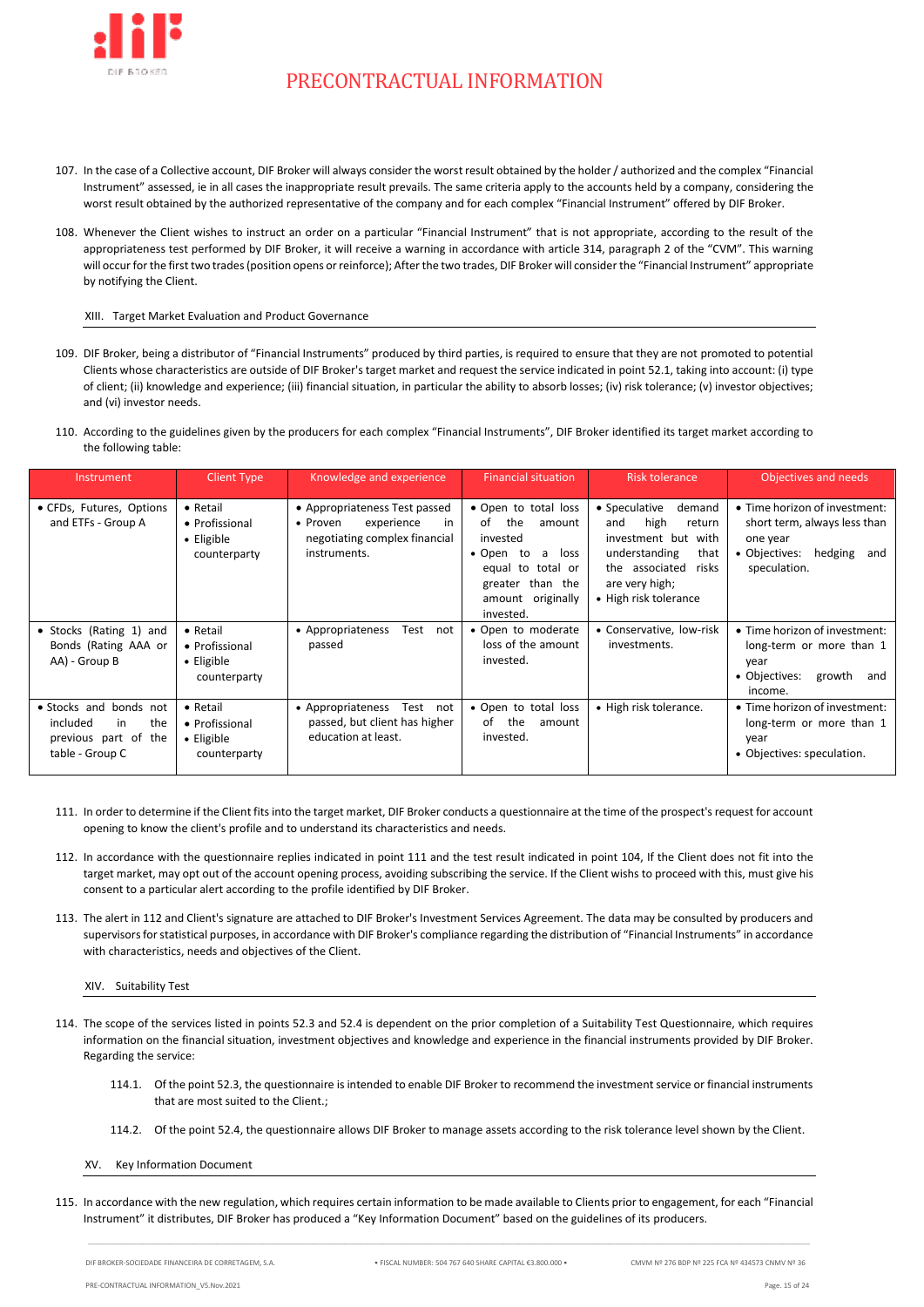

- 107. In the case of a Collective account, DIF Broker will always consider the worst result obtained by the holder / authorized and the complex "Financial Instrument" assessed, ie in all cases the inappropriate result prevails. The same criteria apply to the accounts held by a company, considering the worst result obtained by the authorized representative of the company and for each complex "Financial Instrument" offered by DIF Broker.
- 108. Whenever the Client wishes to instruct an order on a particular "Financial Instrument" that is not appropriate, according to the result of the appropriateness test performed by DIF Broker, it will receive a warning in accordance with article 314, paragraph 2 of the "CVM". This warning will occur for the first two trades (position opens or reinforce); After the two trades, DIF Broker will consider the "Financial Instrument" appropriate by notifying the Client.

### XIII. Target Market Evaluation and Product Governance

- <span id="page-14-0"></span>109. DIF Broker, being a distributor of "Financial Instruments" produced by third parties, is required to ensure that they are not promoted to potential Clients whose characteristics are outside of DIF Broker's target market and request the service indicated in poin[t 52.1,](#page-5-1) taking into account: (i) type of client; (ii) knowledge and experience; (iii) financial situation, in particular the ability to absorb losses; (iv) risk tolerance; (v) investor objectives; and (vi) investor needs.
- 110. According to the guidelines given by the producers for each complex "Financial Instruments", DIF Broker identified its target market according to the following table:

| Instrument                                                                                 | <b>Client Type</b>                                               | Knowledge and experience                                                                                       | <b>Financial situation</b>                                                                                                                                           | <b>Risk tolerance</b>                                                                                                                                                  | Objectives and needs                                                                                                         |
|--------------------------------------------------------------------------------------------|------------------------------------------------------------------|----------------------------------------------------------------------------------------------------------------|----------------------------------------------------------------------------------------------------------------------------------------------------------------------|------------------------------------------------------------------------------------------------------------------------------------------------------------------------|------------------------------------------------------------------------------------------------------------------------------|
| • CFDs, Futures, Options<br>and ETFs - Group A                                             | $\bullet$ Retail<br>• Profissional<br>• Eligible<br>counterparty | • Appropriateness Test passed<br>experience<br>• Proven<br>in<br>negotiating complex financial<br>instruments. | • Open to total loss<br>the<br>of<br>amount<br>invested<br>• Open<br>to<br>loss<br>a -<br>equal to<br>total or<br>greater than the<br>amount originally<br>invested. | • Speculative<br>demand<br>high<br>return<br>and<br>investment but with<br>understanding<br>that<br>the associated<br>risks<br>are very high;<br>• High risk tolerance | • Time horizon of investment:<br>short term, always less than<br>one year<br>• Objectives:<br>hedging<br>and<br>speculation. |
| • Stocks (Rating 1) and<br>Bonds (Rating AAA or<br>AA) - Group B                           | • Retail<br>• Profissional<br>• Eligible<br>counterparty         | • Appropriateness<br>Test<br>not<br>passed                                                                     | • Open to moderate<br>loss of the amount<br>invested.                                                                                                                | • Conservative, low-risk<br>investments.                                                                                                                               | • Time horizon of investment:<br>long-term or more than 1<br>year<br>growth<br>• Objectives:<br>and<br>income.               |
| · Stocks and bonds not<br>included<br>in<br>the<br>previous part of the<br>table - Group C | • Retail<br>• Profissional<br>$\bullet$ Eligible<br>counterparty | • Appropriateness<br>Test not<br>passed, but client has higher<br>education at least.                          | • Open to total loss<br>the<br>of<br>amount<br>invested.                                                                                                             | • High risk tolerance.                                                                                                                                                 | • Time horizon of investment:<br>long-term or more than 1<br>year<br>• Objectives: speculation.                              |

- <span id="page-14-3"></span>111. In order to determine if the Client fits into the target market, DIF Broker conducts a questionnaire at the time of the prospect's request for account opening to know the client's profile and to understand its characteristics and needs.
- <span id="page-14-4"></span>112. In accordance with the questionnaire replies indicated in point [111](#page-14-3) and the test result indicated in point [104,](#page-13-4) If the Client does not fit into the target market, may opt out of the account opening process, avoiding subscribing the service. If the Client wishs to proceed with this, must give his consent to a particular alert according to the profile identified by DIF Broker.
- 113. The alert in [112](#page-14-4) and Client's signature are attached to DIF Broker's Investment Services Agreement. The data may be consulted by producers and supervisors for statistical purposes, in accordance with DIF Broker's compliance regarding the distribution of "Financial Instruments" in accordance with characteristics, needs and objectives of the Client.

<span id="page-14-1"></span>XIV. Suitability Test

- 114. The scope of the services listed in points [52.3](#page-5-2) and [52.4](#page-5-3) is dependent on the prior completion of a Suitability Test Questionnaire, which requires information on the financial situation, investment objectives and knowledge and experience in the financial instruments provided by DIF Broker. Regarding the service:
	- 114.1. Of the point [52.3,](#page-5-2) the questionnaire is intended to enable DIF Broker to recommend the investment service or financial instruments that are most suited to the Client.;
	- 114.2. Of the poin[t 52.4,](#page-5-3) the questionnaire allows DIF Broker to manage assets according to the risk tolerance level shown by the Client.

<span id="page-14-2"></span>XV. Key Information Document

<span id="page-14-5"></span>115. In accordance with the new regulation, which requires certain information to be made available to Clients prior to engagement, for each "Financial Instrument" it distributes, DIF Broker has produced a "Key Information Document" based on the guidelines of its producers.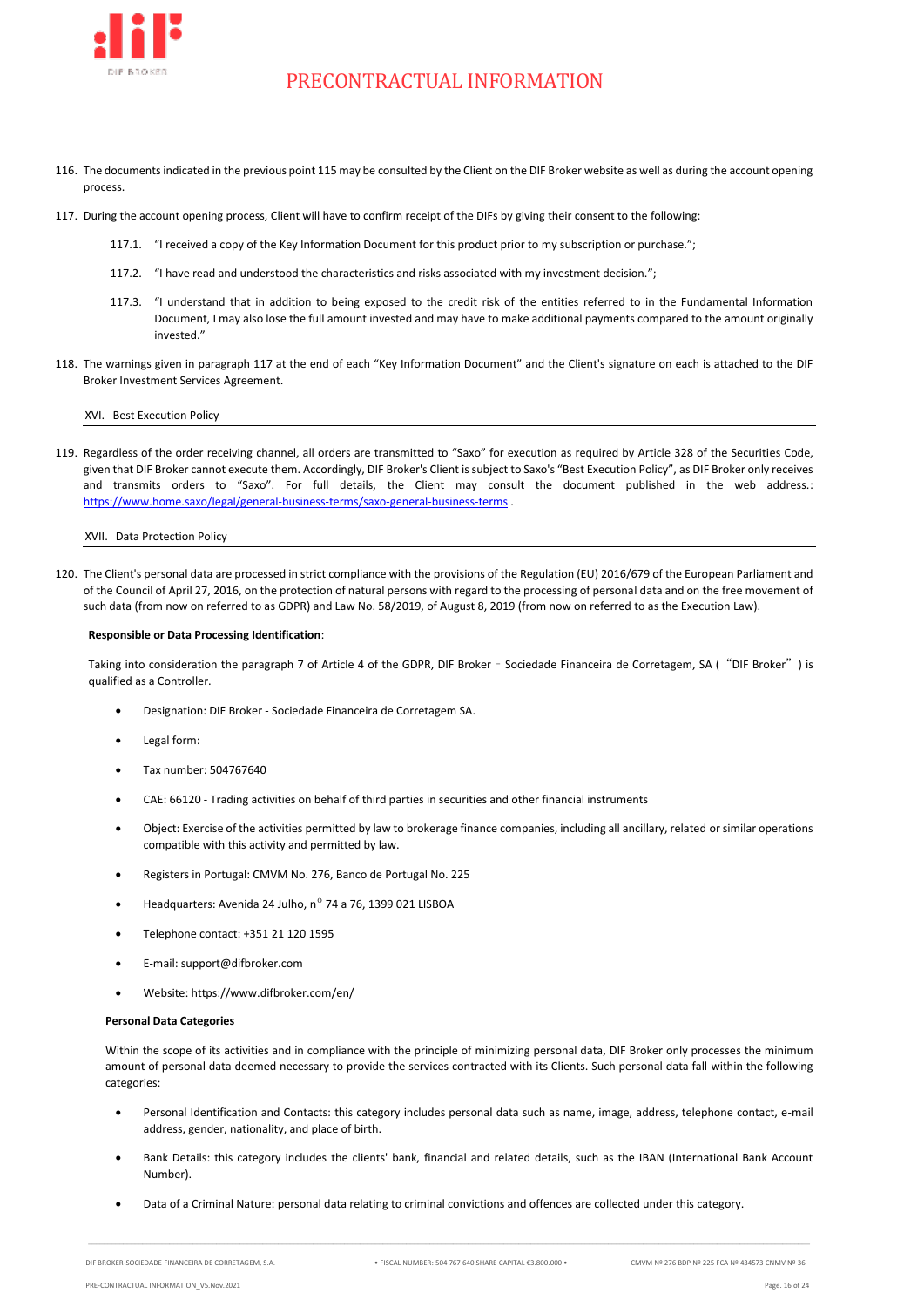

- 116. The documentsindicated in the previous point [115](#page-14-5) may be consulted by the Client on the DIF Broker website as well as during the account opening process.
- <span id="page-15-2"></span>117. During the account opening process, Client will have to confirm receipt of the DIFs by giving their consent to the following:
	- 117.1. "I received a copy of the Key Information Document for this product prior to my subscription or purchase.";
	- 117.2. "I have read and understood the characteristics and risks associated with my investment decision.";
	- 117.3. "I understand that in addition to being exposed to the credit risk of the entities referred to in the Fundamental Information Document, I may also lose the full amount invested and may have to make additional payments compared to the amount originally invested."
- 118. The warnings given in paragraph [117](#page-15-2) at the end of each "Key Information Document" and the Client's signature on each is attached to the DIF Broker Investment Services Agreement.

XVI. Best Execution Policy

<span id="page-15-0"></span>119. Regardless of the order receiving channel, all orders are transmitted to "Saxo" for execution as required by Article 328 of the Securities Code, given that DIF Broker cannot execute them. Accordingly, DIF Broker's Client is subject to Saxo's "Best Execution Policy", as DIF Broker only receives and transmits orders to "Saxo". For full details, the Client may consult the document published in the web address.: <https://www.home.saxo/legal/general-business-terms/saxo-general-business-terms> .

<span id="page-15-1"></span>XVII. Data Protection Policy

120. The Client's personal data are processed in strict compliance with the provisions of the Regulation (EU) 2016/679 of the European Parliament and of the Council of April 27, 2016, on the protection of natural persons with regard to the processing of personal data and on the free movement of such data (from now on referred to as GDPR) and Law No. 58/2019, of August 8, 2019 (from now on referred to as the Execution Law).

#### **Responsible or Data Processing Identification**:

Taking into consideration the paragraph 7 of Article 4 of the GDPR, DIF Broker – Sociedade Financeira de Corretagem, SA ("DIF Broker") is qualified as a Controller.

- Designation: DIF Broker Sociedade Financeira de Corretagem SA.
- Legal form:
- Tax number: 504767640
- CAE: 66120 Trading activities on behalf of third parties in securities and other financial instruments
- Object: Exercise of the activities permitted by law to brokerage finance companies, including all ancillary, related or similar operations compatible with this activity and permitted by law.
- Registers in Portugal: CMVM No. 276, Banco de Portugal No. 225
- Headquarters: Avenida 24 Julho,  $n^{\circ}$  74 a 76, 1399 021 LISBOA
- Telephone contact: +351 21 120 1595
- E-mail: support@difbroker.com
- Website: https://www.difbroker.com/en/

#### **Personal Data Categories**

Within the scope of its activities and in compliance with the principle of minimizing personal data, DIF Broker only processes the minimum amount of personal data deemed necessary to provide the services contracted with its Clients. Such personal data fall within the following categories:

- Personal Identification and Contacts: this category includes personal data such as name, image, address, telephone contact, e-mail address, gender, nationality, and place of birth.
- Bank Details: this category includes the clients' bank, financial and related details, such as the IBAN (International Bank Account Number).
- Data of a Criminal Nature: personal data relating to criminal convictions and offences are collected under this category.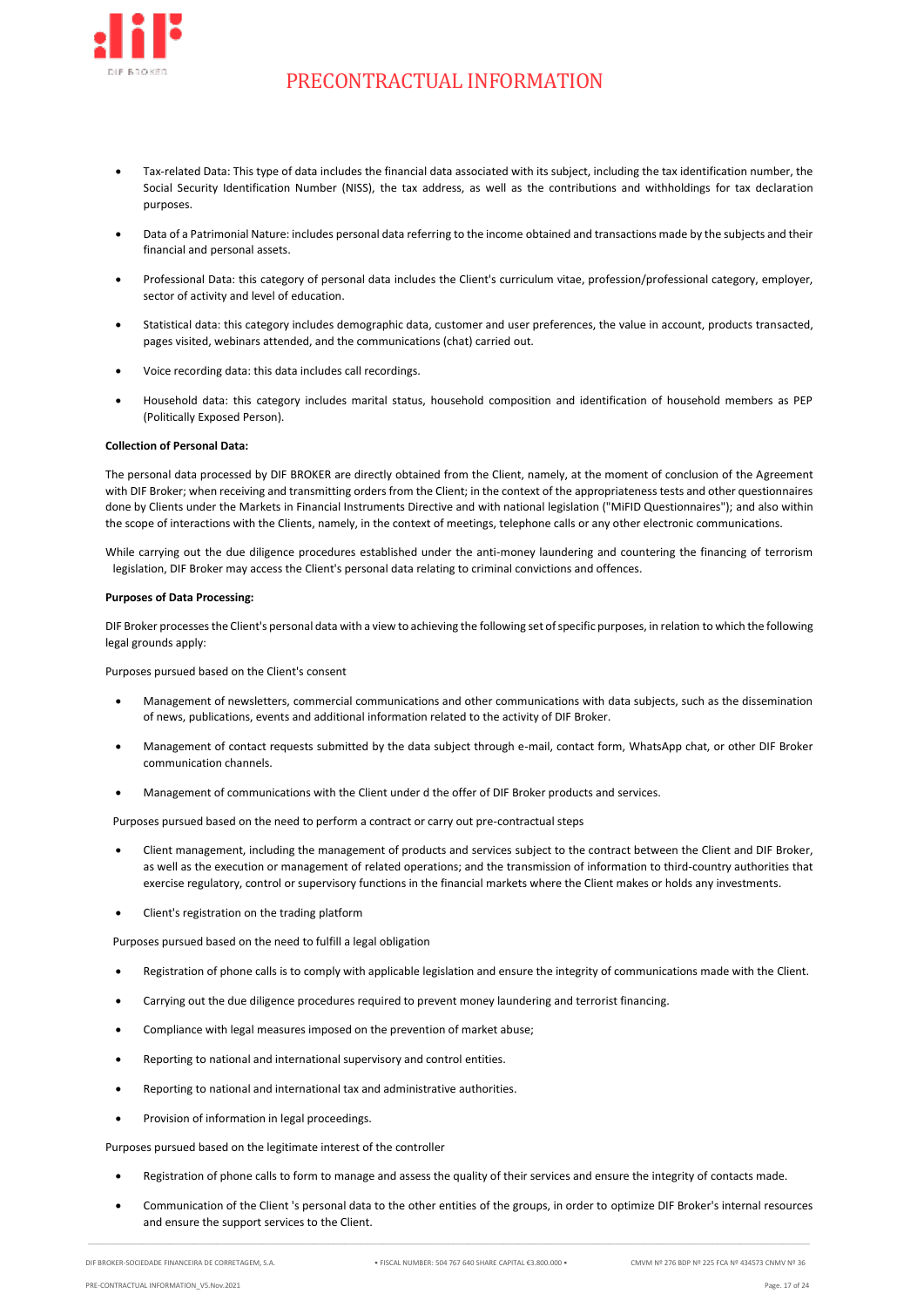

- Tax-related Data: This type of data includes the financial data associated with its subject, including the tax identification number, the Social Security Identification Number (NISS), the tax address, as well as the contributions and withholdings for tax declaration purposes.
- Data of a Patrimonial Nature: includes personal data referring to the income obtained and transactions made by the subjects and their financial and personal assets.
- Professional Data: this category of personal data includes the Client's curriculum vitae, profession/professional category, employer, sector of activity and level of education.
- Statistical data: this category includes demographic data, customer and user preferences, the value in account, products transacted, pages visited, webinars attended, and the communications (chat) carried out.
- Voice recording data: this data includes call recordings.
- Household data: this category includes marital status, household composition and identification of household members as PEP (Politically Exposed Person).

### **Collection of Personal Data:**

The personal data processed by DIF BROKER are directly obtained from the Client, namely, at the moment of conclusion of the Agreement with DIF Broker; when receiving and transmitting orders from the Client; in the context of the appropriateness tests and other questionnaires done by Clients under the Markets in Financial Instruments Directive and with national legislation ("MiFID Questionnaires"); and also within the scope of interactions with the Clients, namely, in the context of meetings, telephone calls or any other electronic communications.

While carrying out the due diligence procedures established under the anti-money laundering and countering the financing of terrorism legislation, DIF Broker may access the Client's personal data relating to criminal convictions and offences.

### **Purposes of Data Processing:**

DIF Broker processes the Client's personal data with a view to achieving the following set of specific purposes, in relation to which the following legal grounds apply:

Purposes pursued based on the Client's consent

- Management of newsletters, commercial communications and other communications with data subjects, such as the dissemination of news, publications, events and additional information related to the activity of DIF Broker.
- Management of contact requests submitted by the data subject through e-mail, contact form, WhatsApp chat, or other DIF Broker communication channels.
- Management of communications with the Client under d the offer of DIF Broker products and services.

Purposes pursued based on the need to perform a contract or carry out pre-contractual steps

- Client management, including the management of products and services subject to the contract between the Client and DIF Broker, as well as the execution or management of related operations; and the transmission of information to third-country authorities that exercise regulatory, control or supervisory functions in the financial markets where the Client makes or holds any investments.
- Client's registration on the trading platform

Purposes pursued based on the need to fulfill a legal obligation

- Registration of phone calls is to comply with applicable legislation and ensure the integrity of communications made with the Client.
- Carrying out the due diligence procedures required to prevent money laundering and terrorist financing.
- Compliance with legal measures imposed on the prevention of market abuse;
- Reporting to national and international supervisory and control entities.
- Reporting to national and international tax and administrative authorities.
- Provision of information in legal proceedings.

Purposes pursued based on the legitimate interest of the controller

• Registration of phone calls to form to manage and assess the quality of their services and ensure the integrity of contacts made.

 $\_$  , and the set of the set of the set of the set of the set of the set of the set of the set of the set of the set of the set of the set of the set of the set of the set of the set of the set of the set of the set of th

• Communication of the Client 's personal data to the other entities of the groups, in order to optimize DIF Broker's internal resources and ensure the support services to the Client.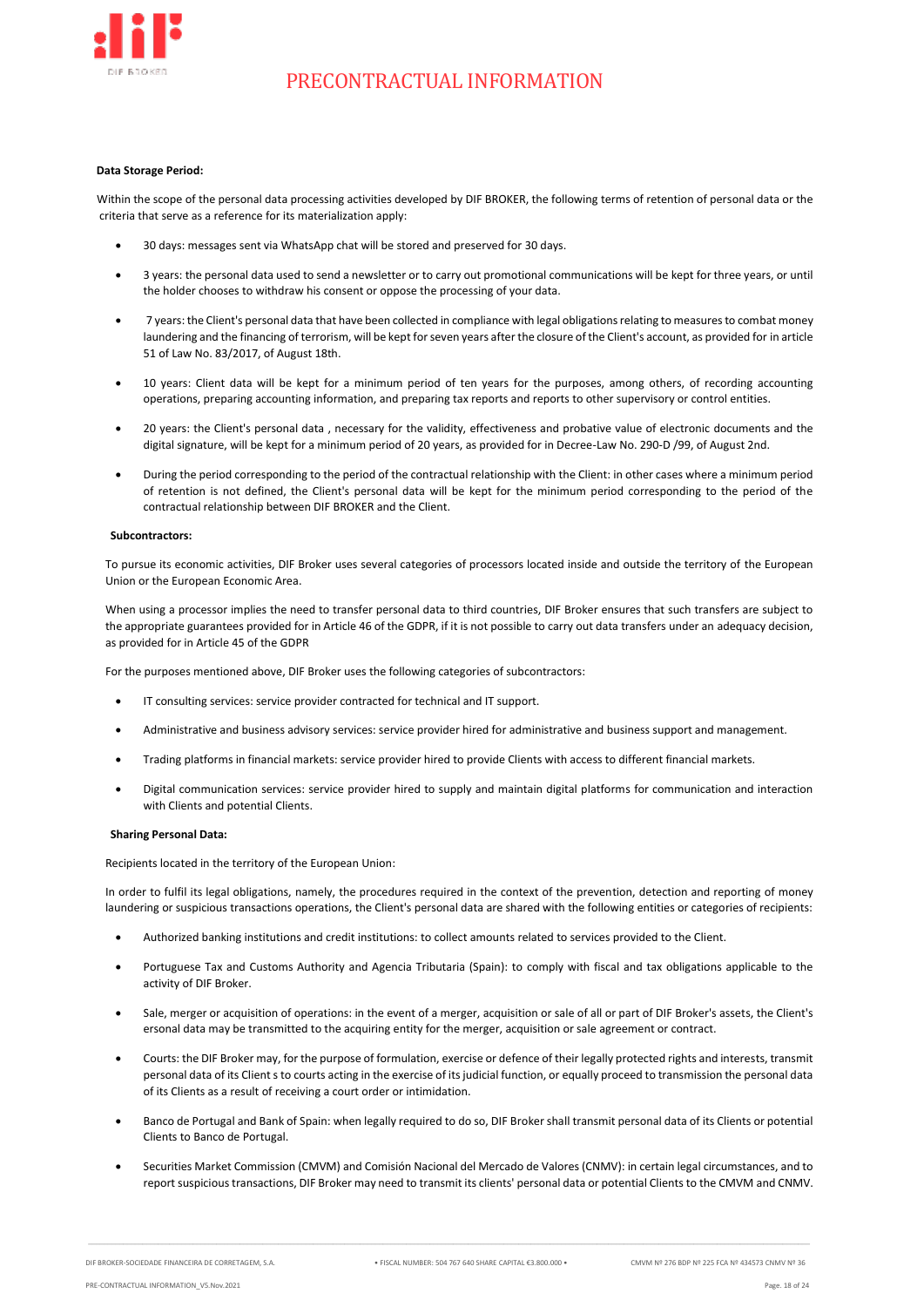

#### **Data Storage Period:**

Within the scope of the personal data processing activities developed by DIF BROKER, the following terms of retention of personal data or the criteria that serve as a reference for its materialization apply:

- 30 days: messages sent via WhatsApp chat will be stored and preserved for 30 days.
- 3 years: the personal data used to send a newsletter or to carry out promotional communications will be kept for three years, or until the holder chooses to withdraw his consent or oppose the processing of your data.
- 7 years: the Client's personal data that have been collected in compliance with legal obligations relating to measures to combat money laundering and the financing of terrorism, will be kept for seven years after the closure of the Client's account, as provided for in article 51 of Law No. 83/2017, of August 18th.
- 10 years: Client data will be kept for a minimum period of ten years for the purposes, among others, of recording accounting operations, preparing accounting information, and preparing tax reports and reports to other supervisory or control entities.
- 20 years: the Client's personal data , necessary for the validity, effectiveness and probative value of electronic documents and the digital signature, will be kept for a minimum period of 20 years, as provided for in Decree-Law No. 290-D /99, of August 2nd.
- During the period corresponding to the period of the contractual relationship with the Client: in other cases where a minimum period of retention is not defined, the Client's personal data will be kept for the minimum period corresponding to the period of the contractual relationship between DIF BROKER and the Client.

### **Subcontractors:**

To pursue its economic activities, DIF Broker uses several categories of processors located inside and outside the territory of the European Union or the European Economic Area.

When using a processor implies the need to transfer personal data to third countries, DIF Broker ensures that such transfers are subject to the appropriate guarantees provided for in Article 46 of the GDPR, if it is not possible to carry out data transfers under an adequacy decision, as provided for in Article 45 of the GDPR

For the purposes mentioned above, DIF Broker uses the following categories of subcontractors:

- IT consulting services: service provider contracted for technical and IT support.
- Administrative and business advisory services: service provider hired for administrative and business support and management.
- Trading platforms in financial markets: service provider hired to provide Clients with access to different financial markets.
- Digital communication services: service provider hired to supply and maintain digital platforms for communication and interaction with Clients and potential Clients.

#### **Sharing Personal Data:**

Recipients located in the territory of the European Union:

In order to fulfil its legal obligations, namely, the procedures required in the context of the prevention, detection and reporting of money laundering or suspicious transactions operations, the Client's personal data are shared with the following entities or categories of recipients:

- Authorized banking institutions and credit institutions: to collect amounts related to services provided to the Client.
- Portuguese Tax and Customs Authority and Agencia Tributaria (Spain): to comply with fiscal and tax obligations applicable to the activity of DIF Broker.
- Sale, merger or acquisition of operations: in the event of a merger, acquisition or sale of all or part of DIF Broker's assets, the Client's ersonal data may be transmitted to the acquiring entity for the merger, acquisition or sale agreement or contract.
- Courts: the DIF Broker may, for the purpose of formulation, exercise or defence of their legally protected rights and interests, transmit personal data of its Client s to courts acting in the exercise of its judicial function, or equally proceed to transmission the personal data of its Clients as a result of receiving a court order or intimidation.
- Banco de Portugal and Bank of Spain: when legally required to do so, DIF Broker shall transmit personal data of its Clients or potential Clients to Banco de Portugal.
- Securities Market Commission (CMVM) and Comisión Nacional del Mercado de Valores (CNMV): in certain legal circumstances, and to report suspicious transactions, DIF Broker may need to transmit its clients' personal data or potential Clients to the CMVM and CNMV.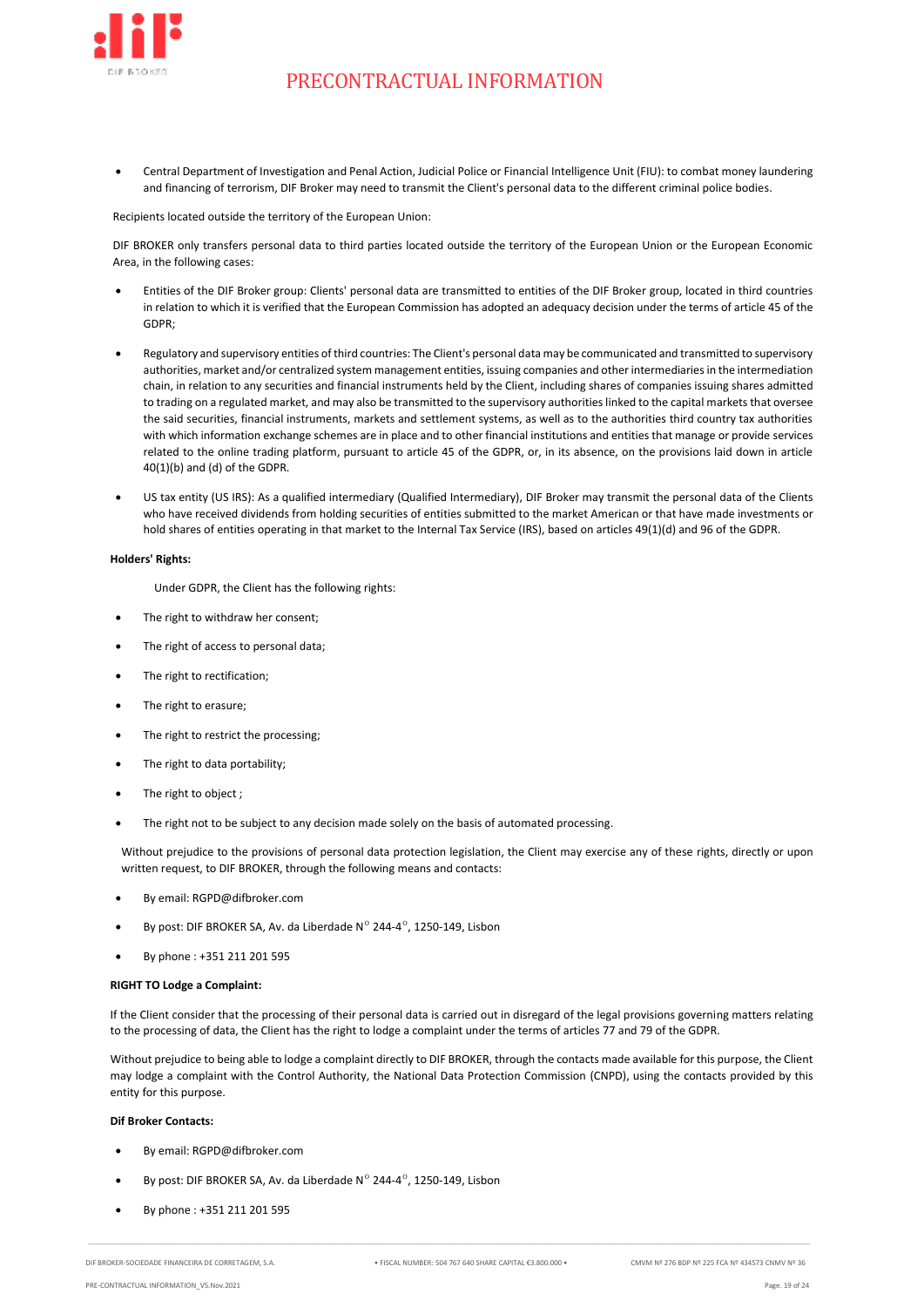

• Central Department of Investigation and Penal Action, Judicial Police or Financial Intelligence Unit (FIU): to combat money laundering and financing of terrorism, DIF Broker may need to transmit the Client's personal data to the different criminal police bodies.

Recipients located outside the territory of the European Union:

DIF BROKER only transfers personal data to third parties located outside the territory of the European Union or the European Economic Area, in the following cases:

- Entities of the DIF Broker group: Clients' personal data are transmitted to entities of the DIF Broker group, located in third countries in relation to which it is verified that the European Commission has adopted an adequacy decision under the terms of article 45 of the GDPR;
- Regulatory and supervisory entities of third countries: The Client's personal data may be communicated and transmitted to supervisory authorities, market and/or centralized system management entities, issuing companies and other intermediaries in the intermediation chain, in relation to any securities and financial instruments held by the Client, including shares of companies issuing shares admitted to trading on a regulated market, and may also be transmitted to the supervisory authorities linked to the capital markets that oversee the said securities, financial instruments, markets and settlement systems, as well as to the authorities third country tax authorities with which information exchange schemes are in place and to other financial institutions and entities that manage or provide services related to the online trading platform, pursuant to article 45 of the GDPR, or, in its absence, on the provisions laid down in article 40(1)(b) and (d) of the GDPR.
- US tax entity (US IRS): As a qualified intermediary (Qualified Intermediary), DIF Broker may transmit the personal data of the Clients who have received dividends from holding securities of entities submitted to the market American or that have made investments or hold shares of entities operating in that market to the Internal Tax Service (IRS), based on articles 49(1)(d) and 96 of the GDPR.

### **Holders' Rights:**

Under GDPR, the Client has the following rights:

- The right to withdraw her consent;
- The right of access to personal data;
- The right to rectification;
- The right to erasure;
- The right to restrict the processing;
- The right to data portability;
- The right to object ;
- The right not to be subject to any decision made solely on the basis of automated processing.

Without prejudice to the provisions of personal data protection legislation, the Client may exercise any of these rights, directly or upon written request, to DIF BROKER, through the following means and contacts:

- By email: RGPD@difbroker.com
- By post: DIF BROKER SA, Av. da Liberdade Nº 244-4°, 1250-149, Lisbon
- By phone : +351 211 201 595

#### **RIGHT TO Lodge a Complaint:**

If the Client consider that the processing of their personal data is carried out in disregard of the legal provisions governing matters relating to the processing of data, the Client has the right to lodge a complaint under the terms of articles 77 and 79 of the GDPR.

Without prejudice to being able to lodge a complaint directly to DIF BROKER, through the contacts made available for this purpose, the Client may lodge a complaint with the Control Authority, the National Data Protection Commission (CNPD), using the contacts provided by this entity for this purpose.

### **Dif Broker Contacts:**

- By email: RGPD@difbroker.com
- By post: DIF BROKER SA, Av. da Liberdade Nº 244-4°, 1250-149, Lisbon
- By phone : +351 211 201 595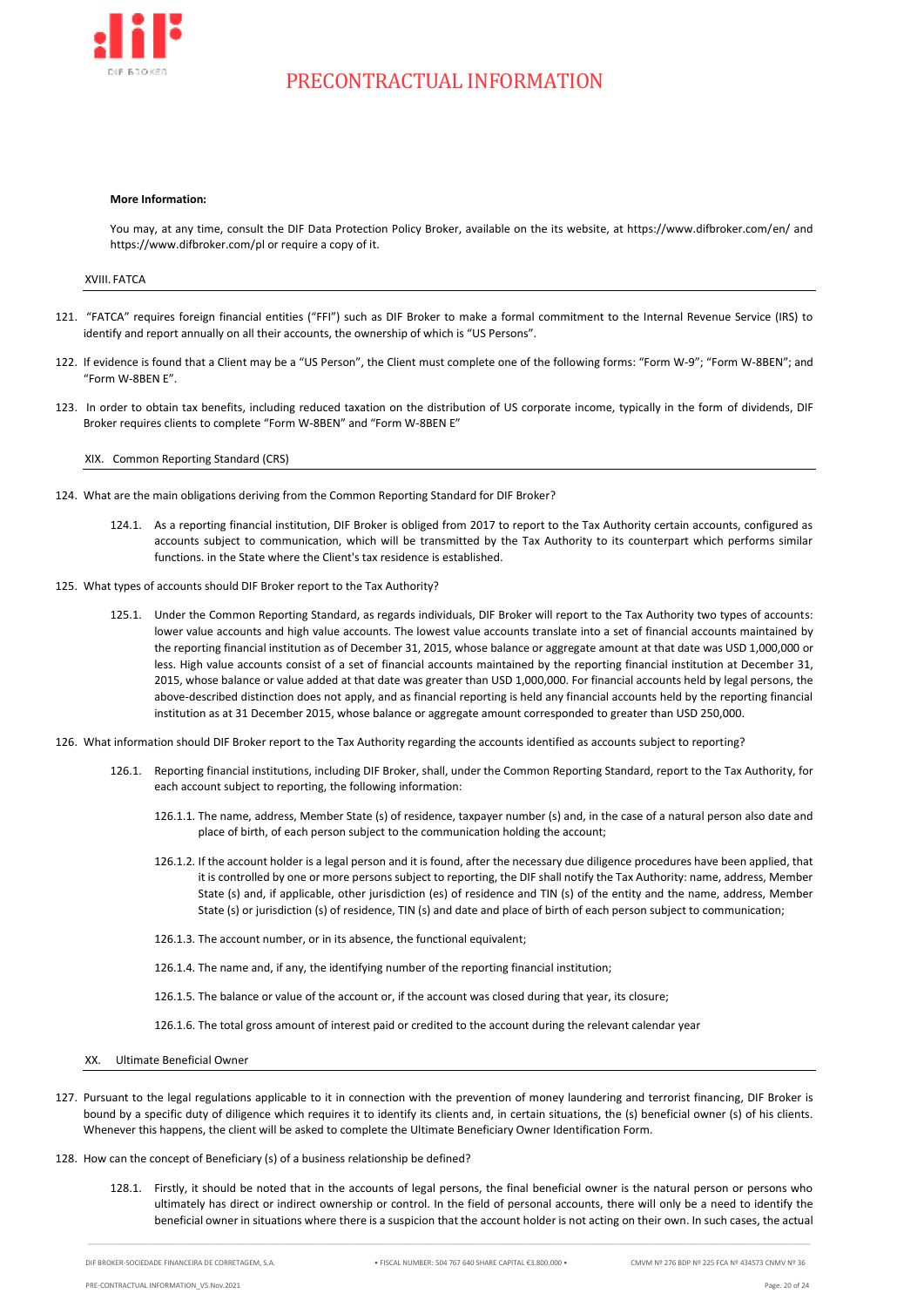

#### **More Information:**

You may, at any time, consult the DIF Data Protection Policy Broker, available on the its website, at https://www.difbroker.com/en/ and https://www.difbroker.com/pl or require a copy of it.

### XVIII. FATCA

- <span id="page-19-0"></span>121. "FATCA" requires foreign financial entities ("FFI") such as DIF Broker to make a formal commitment to the Internal Revenue Service (IRS) to identify and report annually on all their accounts, the ownership of which is "US Persons".
- 122. If evidence is found that a Client may be a "US Person", the Client must complete one of the following forms: "Form W-9"; "Form W-8BEN"; and "Form W-8BEN E".
- <span id="page-19-1"></span>123. In order to obtain tax benefits, including reduced taxation on the distribution of US corporate income, typically in the form of dividends, DIF Broker requires clients to complete "Form W-8BEN" and "Form W-8BEN E"

XIX. Common Reporting Standard (CRS)

- 124. What are the main obligations deriving from the Common Reporting Standard for DIF Broker?
	- 124.1. As a reporting financial institution, DIF Broker is obliged from 2017 to report to the Tax Authority certain accounts, configured as accounts subject to communication, which will be transmitted by the Tax Authority to its counterpart which performs similar functions. in the State where the Client's tax residence is established.
- 125. What types of accounts should DIF Broker report to the Tax Authority?
	- 125.1. Under the Common Reporting Standard, as regards individuals, DIF Broker will report to the Tax Authority two types of accounts: lower value accounts and high value accounts. The lowest value accounts translate into a set of financial accounts maintained by the reporting financial institution as of December 31, 2015, whose balance or aggregate amount at that date was USD 1,000,000 or less. High value accounts consist of a set of financial accounts maintained by the reporting financial institution at December 31, 2015, whose balance or value added at that date was greater than USD 1,000,000. For financial accounts held by legal persons, the above-described distinction does not apply, and as financial reporting is held any financial accounts held by the reporting financial institution as at 31 December 2015, whose balance or aggregate amount corresponded to greater than USD 250,000.
- 126. What information should DIF Broker report to the Tax Authority regarding the accounts identified as accounts subject to reporting?
	- 126.1. Reporting financial institutions, including DIF Broker, shall, under the Common Reporting Standard, report to the Tax Authority, for each account subject to reporting, the following information:
		- 126.1.1. The name, address, Member State (s) of residence, taxpayer number (s) and, in the case of a natural person also date and place of birth, of each person subject to the communication holding the account;
		- 126.1.2. If the account holder is a legal person and it is found, after the necessary due diligence procedures have been applied, that it is controlled by one or more persons subject to reporting, the DIF shall notify the Tax Authority: name, address, Member State (s) and, if applicable, other jurisdiction (es) of residence and TIN (s) of the entity and the name, address, Member State (s) or jurisdiction (s) of residence, TIN (s) and date and place of birth of each person subject to communication;
		- 126.1.3. The account number, or in its absence, the functional equivalent;
		- 126.1.4. The name and, if any, the identifying number of the reporting financial institution;
		- 126.1.5. The balance or value of the account or, if the account was closed during that year, its closure;
		- 126.1.6. The total gross amount of interest paid or credited to the account during the relevant calendar year
	- XX. Ultimate Beneficial Owner
- <span id="page-19-2"></span>127. Pursuant to the legal regulations applicable to it in connection with the prevention of money laundering and terrorist financing, DIF Broker is bound by a specific duty of diligence which requires it to identify its clients and, in certain situations, the (s) beneficial owner (s) of his clients. Whenever this happens, the client will be asked to complete the Ultimate Beneficiary Owner Identification Form.
- 128. How can the concept of Beneficiary (s) of a business relationship be defined?
	- 128.1. Firstly, it should be noted that in the accounts of legal persons, the final beneficial owner is the natural person or persons who ultimately has direct or indirect ownership or control. In the field of personal accounts, there will only be a need to identify the beneficial owner in situations where there is a suspicion that the account holder is not acting on their own. In such cases, the actual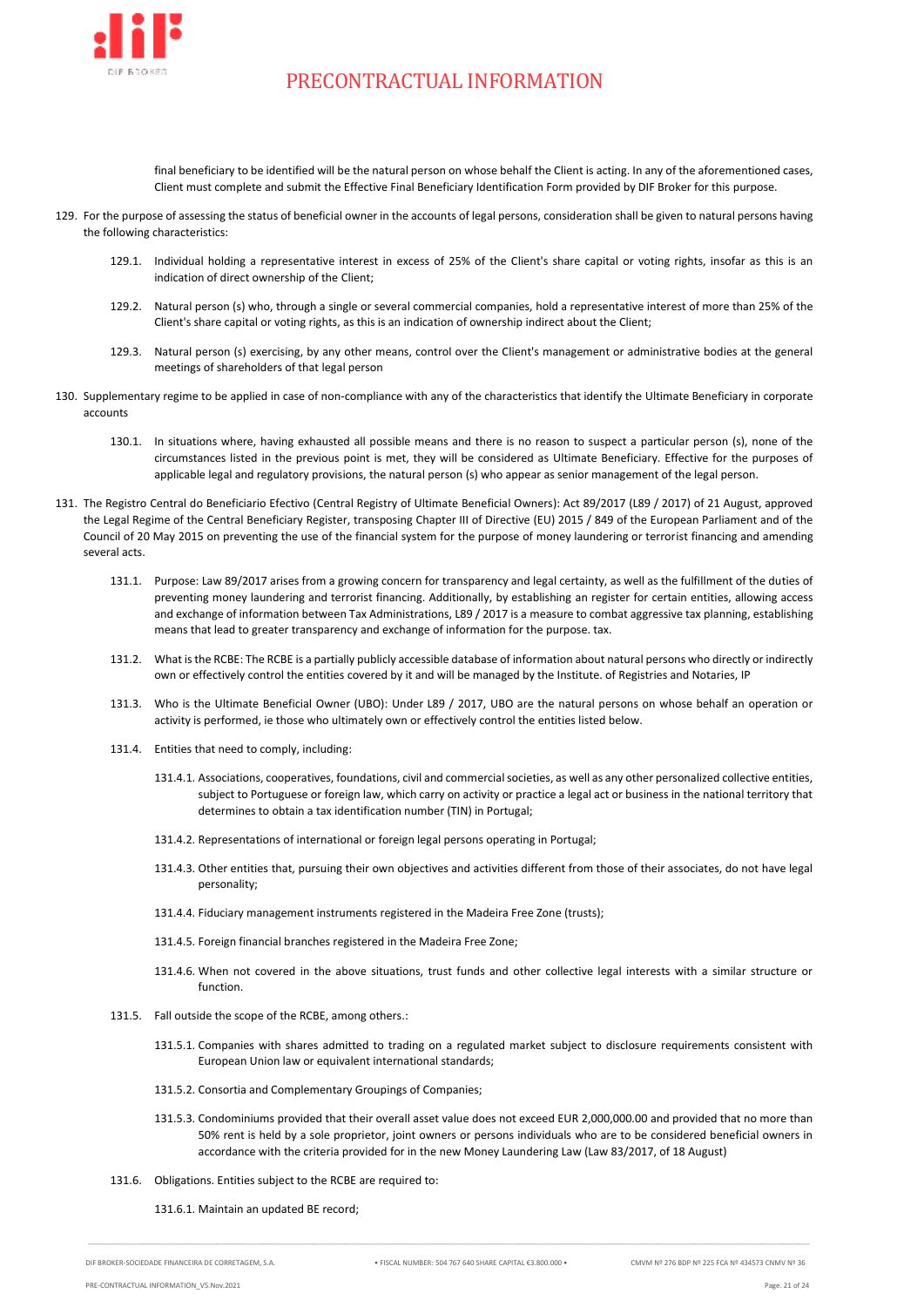

final beneficiary to be identified will be the natural person on whose behalf the Client is acting. In any of the aforementioned cases, Client must complete and submit the Effective Final Beneficiary Identification Form provided by DIF Broker for this purpose.

- 129. For the purpose of assessing the status of beneficial owner in the accounts of legal persons, consideration shall be given to natural persons having the following characteristics:
	- 129.1. Individual holding a representative interest in excess of 25% of the Client's share capital or voting rights, insofar as this is an indication of direct ownership of the Client;
	- 129.2. Natural person (s) who, through a single or several commercial companies, hold a representative interest of more than 25% of the Client's share capital or voting rights, as this is an indication of ownership indirect about the Client;
	- 129.3. Natural person (s) exercising, by any other means, control over the Client's management or administrative bodies at the general meetings of shareholders of that legal person
- 130. Supplementary regime to be applied in case of non-compliance with any of the characteristics that identify the Ultimate Beneficiary in corporate accounts
	- 130.1. In situations where, having exhausted all possible means and there is no reason to suspect a particular person (s), none of the circumstances listed in the previous point is met, they will be considered as Ultimate Beneficiary. Effective for the purposes of applicable legal and regulatory provisions, the natural person (s) who appear as senior management of the legal person.
- 131. The Registro Central do Beneficiario Efectivo (Central Registry of Ultimate Beneficial Owners): Act 89/2017 (L89 / 2017) of 21 August, approved the Legal Regime of the Central Beneficiary Register, transposing Chapter III of Directive (EU) 2015 / 849 of the European Parliament and of the Council of 20 May 2015 on preventing the use of the financial system for the purpose of money laundering or terrorist financing and amending several acts.
	- 131.1. Purpose: Law 89/2017 arises from a growing concern for transparency and legal certainty, as well as the fulfillment of the duties of preventing money laundering and terrorist financing. Additionally, by establishing an register for certain entities, allowing access and exchange of information between Tax Administrations, L89 / 2017 is a measure to combat aggressive tax planning, establishing means that lead to greater transparency and exchange of information for the purpose. tax.
	- 131.2. What is the RCBE: The RCBE is a partially publicly accessible database of information about natural persons who directly or indirectly own or effectively control the entities covered by it and will be managed by the Institute. of Registries and Notaries, IP
	- 131.3. Who is the Ultimate Beneficial Owner (UBO): Under L89 / 2017, UBO are the natural persons on whose behalf an operation or activity is performed, ie those who ultimately own or effectively control the entities listed below.
	- 131.4. Entities that need to comply, including:
		- 131.4.1. Associations, cooperatives, foundations, civil and commercial societies, as well as any other personalized collective entities, subject to Portuguese or foreign law, which carry on activity or practice a legal act or business in the national territory that determines to obtain a tax identification number (TIN) in Portugal;
		- 131.4.2. Representations of international or foreign legal persons operating in Portugal;
		- 131.4.3. Other entities that, pursuing their own objectives and activities different from those of their associates, do not have legal personality;
		- 131.4.4. Fiduciary management instruments registered in the Madeira Free Zone (trusts);
		- 131.4.5. Foreign financial branches registered in the Madeira Free Zone;
		- 131.4.6. When not covered in the above situations, trust funds and other collective legal interests with a similar structure or function.
	- 131.5. Fall outside the scope of the RCBE, among others.:
		- 131.5.1. Companies with shares admitted to trading on a regulated market subject to disclosure requirements consistent with European Union law or equivalent international standards;
		- 131.5.2. Consortia and Complementary Groupings of Companies;
		- 131.5.3. Condominiums provided that their overall asset value does not exceed EUR 2,000,000.00 and provided that no more than 50% rent is held by a sole proprietor, joint owners or persons individuals who are to be considered beneficial owners in accordance with the criteria provided for in the new Money Laundering Law (Law 83/2017, of 18 August)
	- 131.6. Obligations. Entities subject to the RCBE are required to:

131.6.1. Maintain an updated BE record;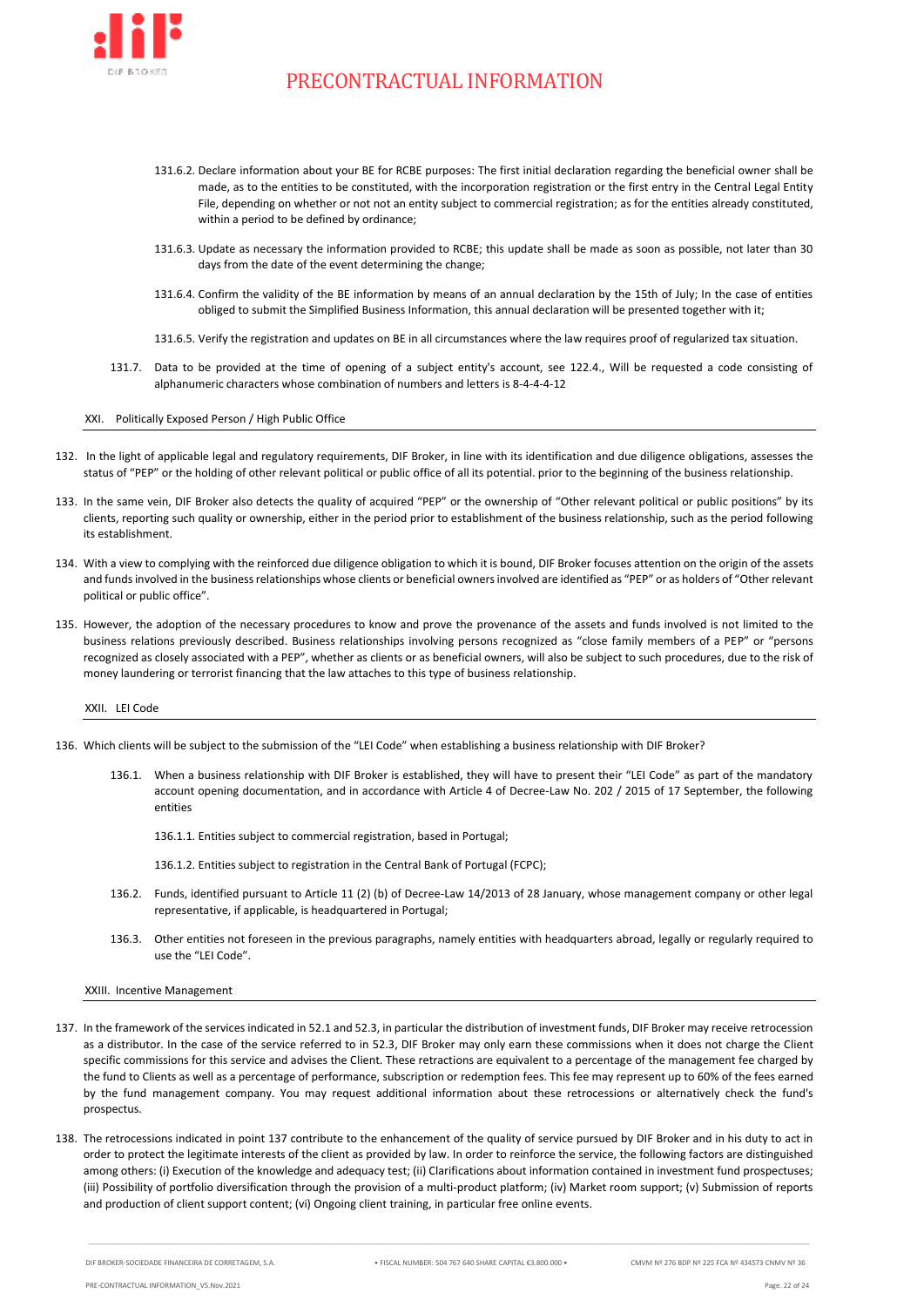

- 131.6.2. Declare information about your BE for RCBE purposes: The first initial declaration regarding the beneficial owner shall be made, as to the entities to be constituted, with the incorporation registration or the first entry in the Central Legal Entity File, depending on whether or not not an entity subject to commercial registration; as for the entities already constituted, within a period to be defined by ordinance;
- 131.6.3. Update as necessary the information provided to RCBE; this update shall be made as soon as possible, not later than 30 days from the date of the event determining the change;
- 131.6.4. Confirm the validity of the BE information by means of an annual declaration by the 15th of July; In the case of entities obliged to submit the Simplified Business Information, this annual declaration will be presented together with it;
- 131.6.5. Verify the registration and updates on BE in all circumstances where the law requires proof of regularized tax situation.
- 131.7. Data to be provided at the time of opening of a subject entity's account, see 122.4., Will be requested a code consisting of alphanumeric characters whose combination of numbers and letters is 8-4-4-4-12

### <span id="page-21-0"></span>XXI. Politically Exposed Person / High Public Office

- 132. In the light of applicable legal and regulatory requirements, DIF Broker, in line with its identification and due diligence obligations, assesses the status of "PEP" or the holding of other relevant political or public office of all its potential. prior to the beginning of the business relationship.
- 133. In the same vein, DIF Broker also detects the quality of acquired "PEP" or the ownership of "Other relevant political or public positions" by its clients, reporting such quality or ownership, either in the period prior to establishment of the business relationship, such as the period following its establishment.
- 134. With a view to complying with the reinforced due diligence obligation to which it is bound, DIF Broker focuses attention on the origin of the assets and funds involved in the business relationships whose clients or beneficial owners involved are identified as "PEP" or as holders of "Other relevant political or public office".
- 135. However, the adoption of the necessary procedures to know and prove the provenance of the assets and funds involved is not limited to the business relations previously described. Business relationships involving persons recognized as "close family members of a PEP" or "persons recognized as closely associated with a PEP", whether as clients or as beneficial owners, will also be subject to such procedures, due to the risk of money laundering or terrorist financing that the law attaches to this type of business relationship.

<span id="page-21-1"></span>XXII. LEI Code

- 136. Which clients will be subject to the submission of the "LEI Code" when establishing a business relationship with DIF Broker?
	- 136.1. When a business relationship with DIF Broker is established, they will have to present their "LEI Code" as part of the mandatory account opening documentation, and in accordance with Article 4 of Decree-Law No. 202 / 2015 of 17 September, the following entities
		- 136.1.1. Entities subject to commercial registration, based in Portugal;
		- 136.1.2. Entities subject to registration in the Central Bank of Portugal (FCPC);
	- 136.2. Funds, identified pursuant to Article 11 (2) (b) of Decree-Law 14/2013 of 28 January, whose management company or other legal representative, if applicable, is headquartered in Portugal;
	- 136.3. Other entities not foreseen in the previous paragraphs, namely entities with headquarters abroad, legally or regularly required to use the "LEI Code".

<span id="page-21-2"></span>XXIII. Incentive Management

- <span id="page-21-3"></span>137. In the framework of the services indicated in [52.1](#page-5-1) an[d 52.3,](#page-5-2) in particular the distribution of investment funds, DIF Broker may receive retrocession as a distributor. In the case of the service referred to in [52.3,](#page-5-2) DIF Broker may only earn these commissions when it does not charge the Client specific commissions for this service and advises the Client. These retractions are equivalent to a percentage of the management fee charged by the fund to Clients as well as a percentage of performance, subscription or redemption fees. This fee may represent up to 60% of the fees earned by the fund management company. You may request additional information about these retrocessions or alternatively check the fund's prospectus.
- 138. The retrocessions indicated in point [137](#page-21-3) contribute to the enhancement of the quality of service pursued by DIF Broker and in his duty to act in order to protect the legitimate interests of the client as provided by law. In order to reinforce the service, the following factors are distinguished among others: (i) Execution of the knowledge and adequacy test; (ii) Clarifications about information contained in investment fund prospectuses; (iii) Possibility of portfolio diversification through the provision of a multi-product platform; (iv) Market room support; (v) Submission of reports and production of client support content; (vi) Ongoing client training, in particular free online events.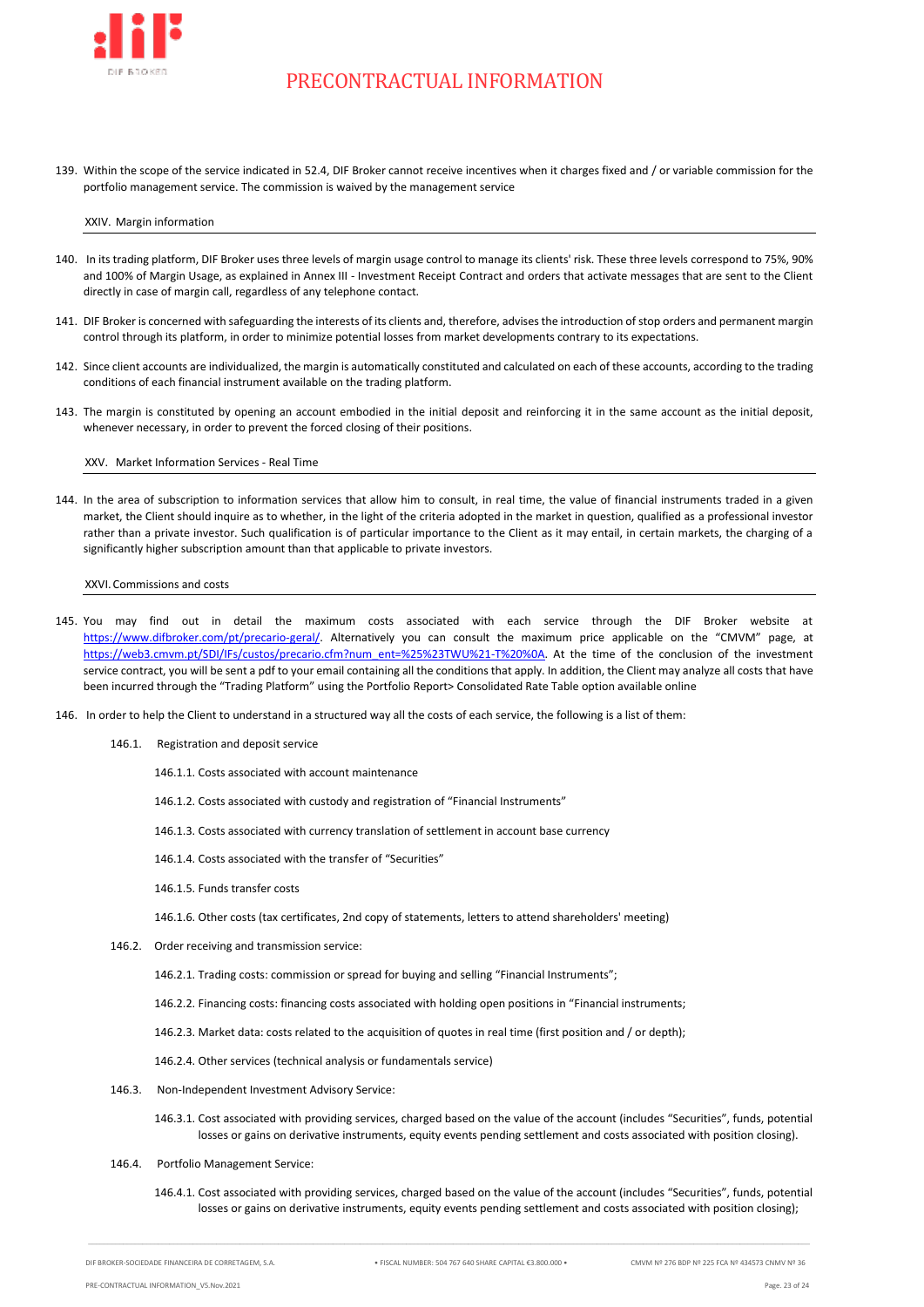

139. Within the scope of the service indicated in [52.4,](#page-5-3) DIF Broker cannot receive incentives when it charges fixed and / or variable commission for the portfolio management service. The commission is waived by the management service

#### <span id="page-22-0"></span>XXIV. Margin information

- 140. In its trading platform, DIF Broker uses three levels of margin usage control to manage its clients' risk. These three levels correspond to 75%, 90% and 100% of Margin Usage, as explained in Annex III - Investment Receipt Contract and orders that activate messages that are sent to the Client directly in case of margin call, regardless of any telephone contact.
- 141. DIF Broker is concerned with safeguarding the interests of its clients and, therefore, advises the introduction of stop orders and permanent margin control through its platform, in order to minimize potential losses from market developments contrary to its expectations.
- 142. Since client accounts are individualized, the margin is automatically constituted and calculated on each of these accounts, according to the trading conditions of each financial instrument available on the trading platform.
- 143. The margin is constituted by opening an account embodied in the initial deposit and reinforcing it in the same account as the initial deposit, whenever necessary, in order to prevent the forced closing of their positions.

<span id="page-22-1"></span>XXV. Market Information Services - Real Time

144. In the area of subscription to information services that allow him to consult, in real time, the value of financial instruments traded in a given market, the Client should inquire as to whether, in the light of the criteria adopted in the market in question, qualified as a professional investor rather than a private investor. Such qualification is of particular importance to the Client as it may entail, in certain markets, the charging of a significantly higher subscription amount than that applicable to private investors.

XXVI.Commissions and costs

- <span id="page-22-2"></span>145. You may find out in detail the maximum costs associated with each service through the DIF Broker website at [https://www.difbroker.com/pt/precario-geral/.](https://www.difbroker.com/pt/precario-geral/) Alternatively you can consult the maximum price applicable on the "CMVM" page, at [https://web3.cmvm.pt/SDI/IFs/custos/precario.cfm?num\\_ent=%25%23TWU%21-T%20%0A.](https://web3.cmvm.pt/SDI/IFs/custos/precario.cfm?num_ent=%25%23TWU%21-T%20%0A) At the time of the conclusion of the investment service contract, you will be sent a pdf to your email containing all the conditions that apply. In addition, the Client may analyze all costs that have been incurred through the "Trading Platform" using the Portfolio Report> Consolidated Rate Table option available online
- 146. In order to help the Client to understand in a structured way all the costs of each service, the following is a list of them:
	- 146.1. Registration and deposit service
		- 146.1.1. Costs associated with account maintenance
		- 146.1.2. Costs associated with custody and registration of "Financial Instruments"
		- 146.1.3. Costs associated with currency translation of settlement in account base currency
		- 146.1.4. Costs associated with the transfer of "Securities"
		- 146.1.5. Funds transfer costs
		- 146.1.6. Other costs (tax certificates, 2nd copy of statements, letters to attend shareholders' meeting)
	- 146.2. Order receiving and transmission service:

146.2.1. Trading costs: commission or spread for buying and selling "Financial Instruments";

- 146.2.2. Financing costs: financing costs associated with holding open positions in "Financial instruments;
- 146.2.3. Market data: costs related to the acquisition of quotes in real time (first position and / or depth);

146.2.4. Other services (technical analysis or fundamentals service)

- 146.3. Non-Independent Investment Advisory Service:
	- 146.3.1. Cost associated with providing services, charged based on the value of the account (includes "Securities", funds, potential losses or gains on derivative instruments, equity events pending settlement and costs associated with position closing).
- 146.4. Portfolio Management Service:
	- 146.4.1. Cost associated with providing services, charged based on the value of the account (includes "Securities", funds, potential losses or gains on derivative instruments, equity events pending settlement and costs associated with position closing);